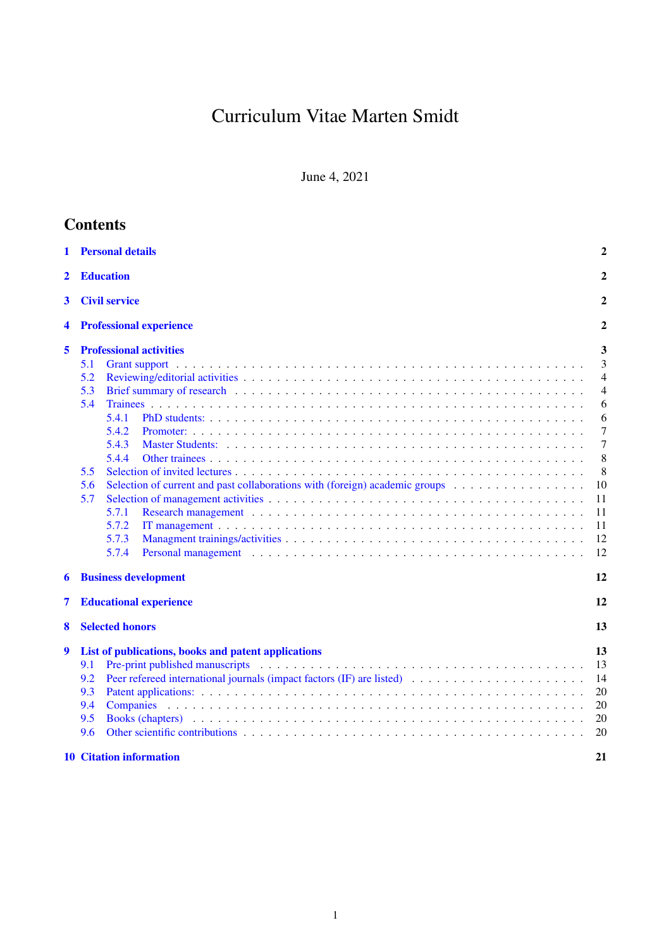# Curriculum Vitae Marten Smidt

June 4, 2021

| <b>Contents</b> |                                                                                                                                                                                                                                                                                                                                                                                                                                                                          |                                                                                    |
|-----------------|--------------------------------------------------------------------------------------------------------------------------------------------------------------------------------------------------------------------------------------------------------------------------------------------------------------------------------------------------------------------------------------------------------------------------------------------------------------------------|------------------------------------------------------------------------------------|
| 1               | <b>Personal details</b>                                                                                                                                                                                                                                                                                                                                                                                                                                                  | 2                                                                                  |
| $\mathbf{2}$    | <b>Education</b>                                                                                                                                                                                                                                                                                                                                                                                                                                                         | 2                                                                                  |
| 3               | <b>Civil service</b>                                                                                                                                                                                                                                                                                                                                                                                                                                                     | $\mathbf{2}$                                                                       |
| 4               | <b>Professional experience</b>                                                                                                                                                                                                                                                                                                                                                                                                                                           | 2                                                                                  |
|                 |                                                                                                                                                                                                                                                                                                                                                                                                                                                                          |                                                                                    |
| 5               | <b>Professional activities</b><br>5.1<br>5.2<br>5.3<br>5.4<br>5.4.1<br>5.4.2<br>5.4.3<br>5.4.4<br>5.5<br>Selection of current and past collaborations with (foreign) academic groups<br>5.6<br>5.7<br>5.7.1<br>5.7.2<br>5.7.3<br>5.7.4<br>Personal management enterprise in the contract of the contract of the contract of the contract of the contract of the contract of the contract of the contract of the contract of the contract of the contract of the contract | 3<br>3<br>4<br>4<br>6<br>6<br>7<br>7<br>8<br>8<br>10<br>11<br>11<br>11<br>12<br>12 |
| 6               | <b>Business development</b>                                                                                                                                                                                                                                                                                                                                                                                                                                              | 12                                                                                 |
| 7               | <b>Educational experience</b>                                                                                                                                                                                                                                                                                                                                                                                                                                            | 12                                                                                 |
| 8               | <b>Selected honors</b>                                                                                                                                                                                                                                                                                                                                                                                                                                                   | 13                                                                                 |
| 9               | List of publications, books and patent applications<br>Pre-print published manuscripts (a) and a contract of the contract of the print published manuscripts (b) and a contract of the contract of the contract of the contract of the contract of the contract of the contract of th<br>9.1<br>9.2<br>9.3<br>9.4<br><b>Companies</b><br>9.5<br>9.6<br><b>10 Citation information</b>                                                                                    | 13<br>13<br>14<br>20<br>20<br>20<br>20<br>21                                       |
|                 |                                                                                                                                                                                                                                                                                                                                                                                                                                                                          |                                                                                    |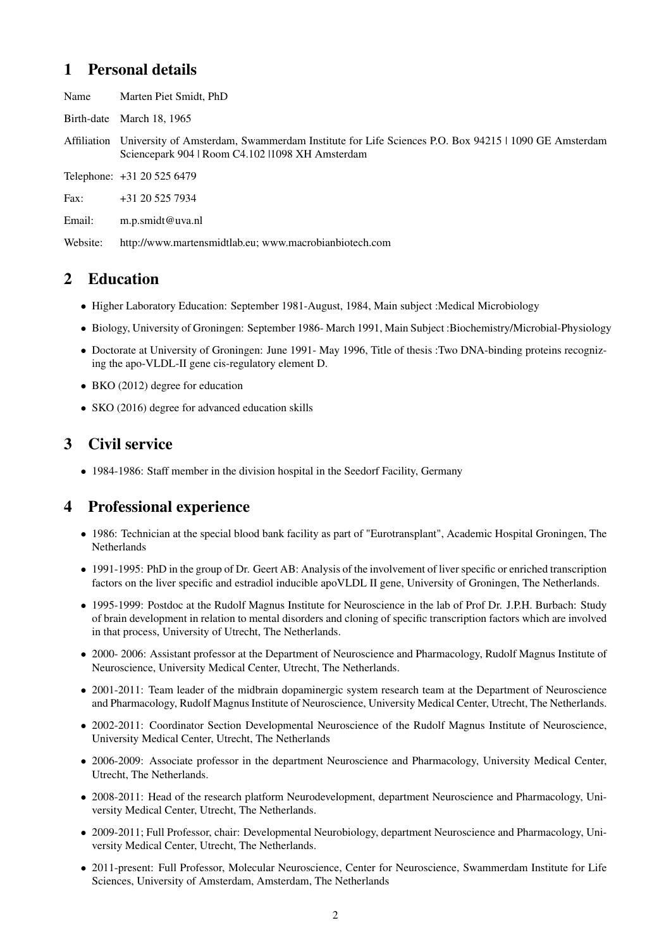# <span id="page-1-0"></span>1 Personal details

Name Marten Piet Smidt, PhD

Birth-date March 18, 1965

Affiliation University of Amsterdam, Swammerdam Institute for Life Sciences P.O. Box 94215 | 1090 GE Amsterdam Sciencepark 904 | Room C4.102 |1098 XH Amsterdam

Telephone: +31 20 525 6479

Fax: +31 20 525 7934

Email: m.p.smidt@uva.nl

Website: http://www.martensmidtlab.eu; www.macrobianbiotech.com

# <span id="page-1-1"></span>2 Education

- Higher Laboratory Education: September 1981-August, 1984, Main subject : Medical Microbiology
- Biology, University of Groningen: September 1986- March 1991, Main Subject :Biochemistry/Microbial-Physiology
- Doctorate at University of Groningen: June 1991- May 1996, Title of thesis :Two DNA-binding proteins recognizing the apo-VLDL-II gene cis-regulatory element D.
- BKO (2012) degree for education
- SKO (2016) degree for advanced education skills

# <span id="page-1-2"></span>3 Civil service

• 1984-1986: Staff member in the division hospital in the Seedorf Facility, Germany

# <span id="page-1-3"></span>4 Professional experience

- 1986: Technician at the special blood bank facility as part of "Eurotransplant", Academic Hospital Groningen, The Netherlands
- 1991-1995: PhD in the group of Dr. Geert AB: Analysis of the involvement of liver specific or enriched transcription factors on the liver specific and estradiol inducible apoVLDL II gene, University of Groningen, The Netherlands.
- 1995-1999: Postdoc at the Rudolf Magnus Institute for Neuroscience in the lab of Prof Dr. J.P.H. Burbach: Study of brain development in relation to mental disorders and cloning of specific transcription factors which are involved in that process, University of Utrecht, The Netherlands.
- 2000- 2006: Assistant professor at the Department of Neuroscience and Pharmacology, Rudolf Magnus Institute of Neuroscience, University Medical Center, Utrecht, The Netherlands.
- 2001-2011: Team leader of the midbrain dopaminergic system research team at the Department of Neuroscience and Pharmacology, Rudolf Magnus Institute of Neuroscience, University Medical Center, Utrecht, The Netherlands.
- 2002-2011: Coordinator Section Developmental Neuroscience of the Rudolf Magnus Institute of Neuroscience, University Medical Center, Utrecht, The Netherlands
- 2006-2009: Associate professor in the department Neuroscience and Pharmacology, University Medical Center, Utrecht, The Netherlands.
- 2008-2011: Head of the research platform Neurodevelopment, department Neuroscience and Pharmacology, University Medical Center, Utrecht, The Netherlands.
- 2009-2011; Full Professor, chair: Developmental Neurobiology, department Neuroscience and Pharmacology, University Medical Center, Utrecht, The Netherlands.
- 2011-present: Full Professor, Molecular Neuroscience, Center for Neuroscience, Swammerdam Institute for Life Sciences, University of Amsterdam, Amsterdam, The Netherlands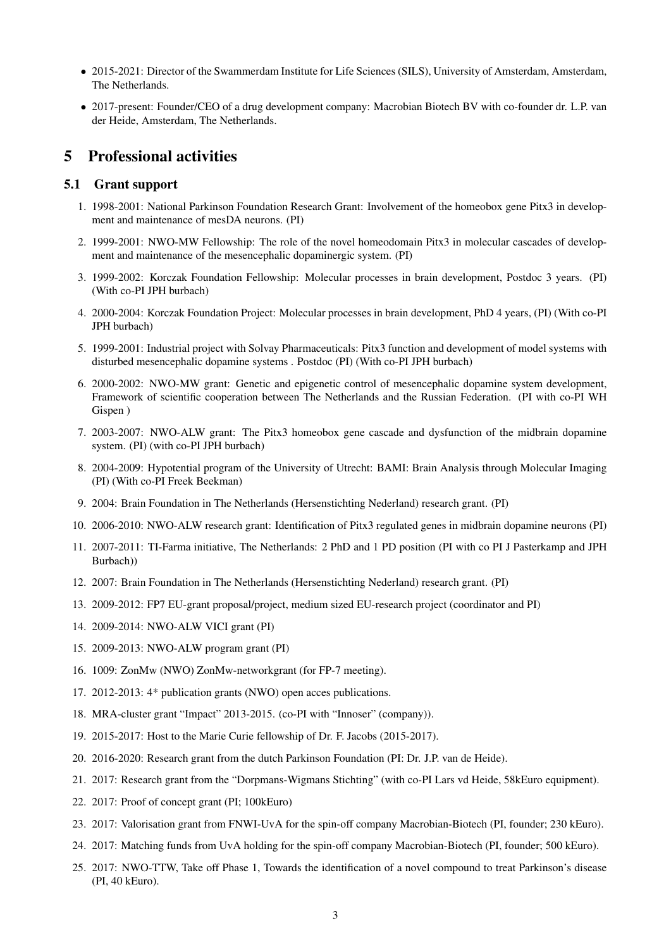- 2015-2021: Director of the Swammerdam Institute for Life Sciences (SILS), University of Amsterdam, Amsterdam, The Netherlands.
- 2017-present: Founder/CEO of a drug development company: Macrobian Biotech BV with co-founder dr. L.P. van der Heide, Amsterdam, The Netherlands.

# <span id="page-2-0"></span>5 Professional activities

#### <span id="page-2-1"></span>5.1 Grant support

- 1. 1998-2001: National Parkinson Foundation Research Grant: Involvement of the homeobox gene Pitx3 in development and maintenance of mesDA neurons. (PI)
- 2. 1999-2001: NWO-MW Fellowship: The role of the novel homeodomain Pitx3 in molecular cascades of development and maintenance of the mesencephalic dopaminergic system. (PI)
- 3. 1999-2002: Korczak Foundation Fellowship: Molecular processes in brain development, Postdoc 3 years. (PI) (With co-PI JPH burbach)
- 4. 2000-2004: Korczak Foundation Project: Molecular processes in brain development, PhD 4 years, (PI) (With co-PI JPH burbach)
- 5. 1999-2001: Industrial project with Solvay Pharmaceuticals: Pitx3 function and development of model systems with disturbed mesencephalic dopamine systems . Postdoc (PI) (With co-PI JPH burbach)
- 6. 2000-2002: NWO-MW grant: Genetic and epigenetic control of mesencephalic dopamine system development, Framework of scientific cooperation between The Netherlands and the Russian Federation. (PI with co-PI WH Gispen )
- 7. 2003-2007: NWO-ALW grant: The Pitx3 homeobox gene cascade and dysfunction of the midbrain dopamine system. (PI) (with co-PI JPH burbach)
- 8. 2004-2009: Hypotential program of the University of Utrecht: BAMI: Brain Analysis through Molecular Imaging (PI) (With co-PI Freek Beekman)
- 9. 2004: Brain Foundation in The Netherlands (Hersenstichting Nederland) research grant. (PI)
- 10. 2006-2010: NWO-ALW research grant: Identification of Pitx3 regulated genes in midbrain dopamine neurons (PI)
- 11. 2007-2011: TI-Farma initiative, The Netherlands: 2 PhD and 1 PD position (PI with co PI J Pasterkamp and JPH Burbach))
- 12. 2007: Brain Foundation in The Netherlands (Hersenstichting Nederland) research grant. (PI)
- 13. 2009-2012: FP7 EU-grant proposal/project, medium sized EU-research project (coordinator and PI)
- 14. 2009-2014: NWO-ALW VICI grant (PI)
- 15. 2009-2013: NWO-ALW program grant (PI)
- 16. 1009: ZonMw (NWO) ZonMw-networkgrant (for FP-7 meeting).
- 17. 2012-2013: 4\* publication grants (NWO) open acces publications.
- 18. MRA-cluster grant "Impact" 2013-2015. (co-PI with "Innoser" (company)).
- 19. 2015-2017: Host to the Marie Curie fellowship of Dr. F. Jacobs (2015-2017).
- 20. 2016-2020: Research grant from the dutch Parkinson Foundation (PI: Dr. J.P. van de Heide).
- 21. 2017: Research grant from the "Dorpmans-Wigmans Stichting" (with co-PI Lars vd Heide, 58kEuro equipment).
- 22. 2017: Proof of concept grant (PI; 100kEuro)
- 23. 2017: Valorisation grant from FNWI-UvA for the spin-off company Macrobian-Biotech (PI, founder; 230 kEuro).
- 24. 2017: Matching funds from UvA holding for the spin-off company Macrobian-Biotech (PI, founder; 500 kEuro).
- 25. 2017: NWO-TTW, Take off Phase 1, Towards the identification of a novel compound to treat Parkinson's disease (PI, 40 kEuro).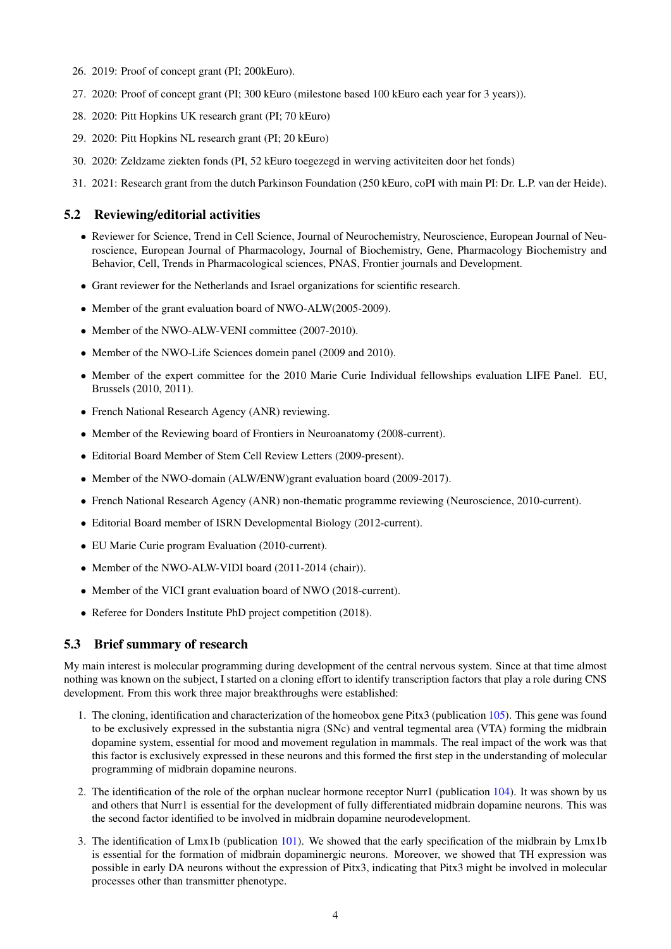- 26. 2019: Proof of concept grant (PI; 200kEuro).
- 27. 2020: Proof of concept grant (PI; 300 kEuro (milestone based 100 kEuro each year for 3 years)).
- 28. 2020: Pitt Hopkins UK research grant (PI; 70 kEuro)
- 29. 2020: Pitt Hopkins NL research grant (PI; 20 kEuro)
- 30. 2020: Zeldzame ziekten fonds (PI, 52 kEuro toegezegd in werving activiteiten door het fonds)
- 31. 2021: Research grant from the dutch Parkinson Foundation (250 kEuro, coPI with main PI: Dr. L.P. van der Heide).

### <span id="page-3-0"></span>5.2 Reviewing/editorial activities

- Reviewer for Science, Trend in Cell Science, Journal of Neurochemistry, Neuroscience, European Journal of Neuroscience, European Journal of Pharmacology, Journal of Biochemistry, Gene, Pharmacology Biochemistry and Behavior, Cell, Trends in Pharmacological sciences, PNAS, Frontier journals and Development.
- Grant reviewer for the Netherlands and Israel organizations for scientific research.
- Member of the grant evaluation board of NWO-ALW(2005-2009).
- Member of the NWO-ALW-VENI committee (2007-2010).
- Member of the NWO-Life Sciences domein panel (2009 and 2010).
- Member of the expert committee for the 2010 Marie Curie Individual fellowships evaluation LIFE Panel. EU, Brussels (2010, 2011).
- French National Research Agency (ANR) reviewing.
- Member of the Reviewing board of Frontiers in Neuroanatomy (2008-current).
- Editorial Board Member of Stem Cell Review Letters (2009-present).
- Member of the NWO-domain (ALW/ENW)grant evaluation board (2009-2017).
- French National Research Agency (ANR) non-thematic programme reviewing (Neuroscience, 2010-current).
- Editorial Board member of ISRN Developmental Biology (2012-current).
- EU Marie Curie program Evaluation (2010-current).
- Member of the NWO-ALW-VIDI board (2011-2014 (chair)).
- Member of the VICI grant evaluation board of NWO (2018-current).
- Referee for Donders Institute PhD project competition (2018).

#### <span id="page-3-1"></span>5.3 Brief summary of research

My main interest is molecular programming during development of the central nervous system. Since at that time almost nothing was known on the subject, I started on a cloning effort to identify transcription factors that play a role during CNS development. From this work three major breakthroughs were established:

- 1. The cloning, identification and characterization of the homeobox gene Pitx3 (publication [105\)](#page-18-0). This gene was found to be exclusively expressed in the substantia nigra (SNc) and ventral tegmental area (VTA) forming the midbrain dopamine system, essential for mood and movement regulation in mammals. The real impact of the work was that this factor is exclusively expressed in these neurons and this formed the first step in the understanding of molecular programming of midbrain dopamine neurons.
- 2. The identification of the role of the orphan nuclear hormone receptor Nurr1 (publication [104\)](#page-18-1). It was shown by us and others that Nurr1 is essential for the development of fully differentiated midbrain dopamine neurons. This was the second factor identified to be involved in midbrain dopamine neurodevelopment.
- 3. The identification of Lmx1b (publication [101\)](#page-18-2). We showed that the early specification of the midbrain by Lmx1b is essential for the formation of midbrain dopaminergic neurons. Moreover, we showed that TH expression was possible in early DA neurons without the expression of Pitx3, indicating that Pitx3 might be involved in molecular processes other than transmitter phenotype.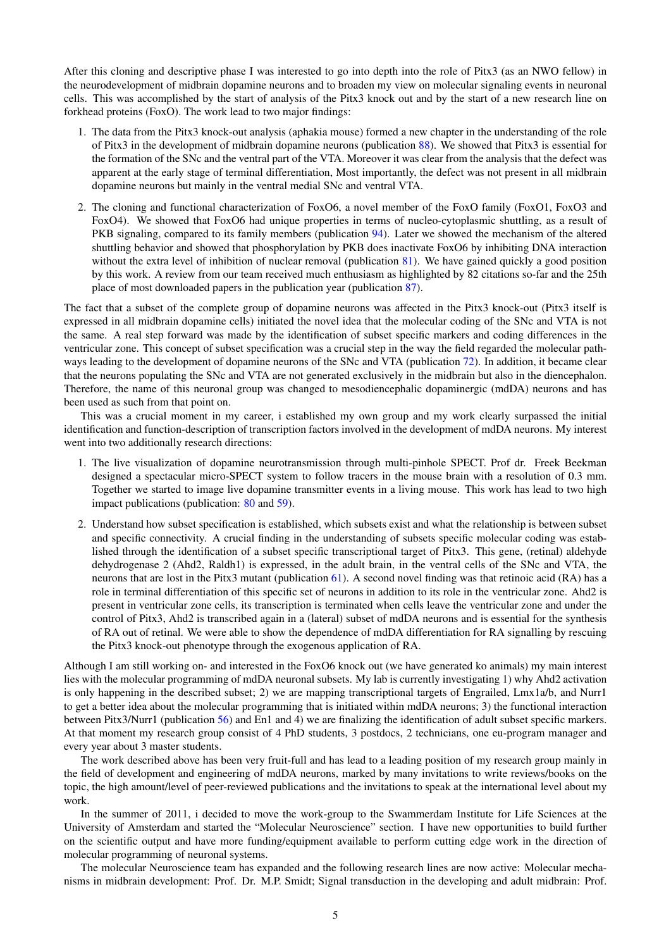After this cloning and descriptive phase I was interested to go into depth into the role of Pitx3 (as an NWO fellow) in the neurodevelopment of midbrain dopamine neurons and to broaden my view on molecular signaling events in neuronal cells. This was accomplished by the start of analysis of the Pitx3 knock out and by the start of a new research line on forkhead proteins (FoxO). The work lead to two major findings:

- 1. The data from the Pitx3 knock-out analysis (aphakia mouse) formed a new chapter in the understanding of the role of Pitx3 in the development of midbrain dopamine neurons (publication [88\)](#page-18-3). We showed that Pitx3 is essential for the formation of the SNc and the ventral part of the VTA. Moreover it was clear from the analysis that the defect was apparent at the early stage of terminal differentiation, Most importantly, the defect was not present in all midbrain dopamine neurons but mainly in the ventral medial SNc and ventral VTA.
- 2. The cloning and functional characterization of FoxO6, a novel member of the FoxO family (FoxO1, FoxO3 and FoxO4). We showed that FoxO6 had unique properties in terms of nucleo-cytoplasmic shuttling, as a result of PKB signaling, compared to its family members (publication [94\)](#page-18-4). Later we showed the mechanism of the altered shuttling behavior and showed that phosphorylation by PKB does inactivate FoxO6 by inhibiting DNA interaction without the extra level of inhibition of nuclear removal (publication [81\)](#page-17-0). We have gained quickly a good position by this work. A review from our team received much enthusiasm as highlighted by 82 citations so-far and the 25th place of most downloaded papers in the publication year (publication [87\)](#page-17-1).

The fact that a subset of the complete group of dopamine neurons was affected in the Pitx3 knock-out (Pitx3 itself is expressed in all midbrain dopamine cells) initiated the novel idea that the molecular coding of the SNc and VTA is not the same. A real step forward was made by the identification of subset specific markers and coding differences in the ventricular zone. This concept of subset specification was a crucial step in the way the field regarded the molecular path-ways leading to the development of dopamine neurons of the SNc and VTA (publication [72\)](#page-17-2). In addition, it became clear that the neurons populating the SNc and VTA are not generated exclusively in the midbrain but also in the diencephalon. Therefore, the name of this neuronal group was changed to mesodiencephalic dopaminergic (mdDA) neurons and has been used as such from that point on.

This was a crucial moment in my career, i established my own group and my work clearly surpassed the initial identification and function-description of transcription factors involved in the development of mdDA neurons. My interest went into two additionally research directions:

- 1. The live visualization of dopamine neurotransmission through multi-pinhole SPECT. Prof dr. Freek Beekman designed a spectacular micro-SPECT system to follow tracers in the mouse brain with a resolution of 0.3 mm. Together we started to image live dopamine transmitter events in a living mouse. This work has lead to two high impact publications (publication: [80](#page-17-3) and [59\)](#page-16-0).
- 2. Understand how subset specification is established, which subsets exist and what the relationship is between subset and specific connectivity. A crucial finding in the understanding of subsets specific molecular coding was established through the identification of a subset specific transcriptional target of Pitx3. This gene, (retinal) aldehyde dehydrogenase 2 (Ahd2, Raldh1) is expressed, in the adult brain, in the ventral cells of the SNc and VTA, the neurons that are lost in the Pitx3 mutant (publication [61\)](#page-16-1). A second novel finding was that retinoic acid (RA) has a role in terminal differentiation of this specific set of neurons in addition to its role in the ventricular zone. Ahd2 is present in ventricular zone cells, its transcription is terminated when cells leave the ventricular zone and under the control of Pitx3, Ahd2 is transcribed again in a (lateral) subset of mdDA neurons and is essential for the synthesis of RA out of retinal. We were able to show the dependence of mdDA differentiation for RA signalling by rescuing the Pitx3 knock-out phenotype through the exogenous application of RA.

Although I am still working on- and interested in the FoxO6 knock out (we have generated ko animals) my main interest lies with the molecular programming of mdDA neuronal subsets. My lab is currently investigating 1) why Ahd2 activation is only happening in the described subset; 2) we are mapping transcriptional targets of Engrailed, Lmx1a/b, and Nurr1 to get a better idea about the molecular programming that is initiated within mdDA neurons; 3) the functional interaction between Pitx3/Nurr1 (publication [56\)](#page-16-2) and En1 and 4) we are finalizing the identification of adult subset specific markers. At that moment my research group consist of 4 PhD students, 3 postdocs, 2 technicians, one eu-program manager and every year about 3 master students.

The work described above has been very fruit-full and has lead to a leading position of my research group mainly in the field of development and engineering of mdDA neurons, marked by many invitations to write reviews/books on the topic, the high amount/level of peer-reviewed publications and the invitations to speak at the international level about my work.

In the summer of 2011, i decided to move the work-group to the Swammerdam Institute for Life Sciences at the University of Amsterdam and started the "Molecular Neuroscience" section. I have new opportunities to build further on the scientific output and have more funding/equipment available to perform cutting edge work in the direction of molecular programming of neuronal systems.

The molecular Neuroscience team has expanded and the following research lines are now active: Molecular mechanisms in midbrain development: Prof. Dr. M.P. Smidt; Signal transduction in the developing and adult midbrain: Prof.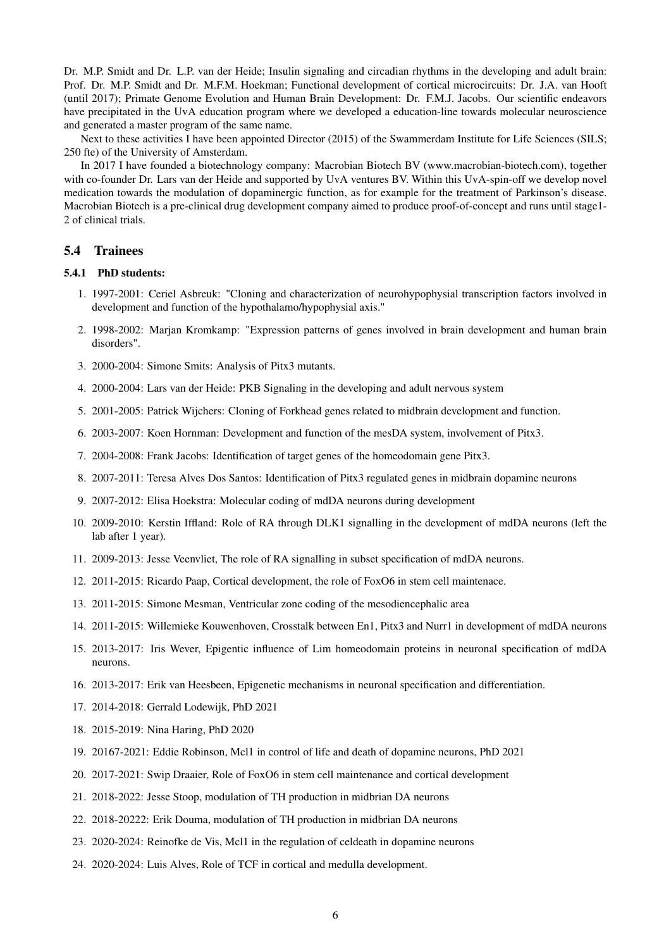Dr. M.P. Smidt and Dr. L.P. van der Heide; Insulin signaling and circadian rhythms in the developing and adult brain: Prof. Dr. M.P. Smidt and Dr. M.F.M. Hoekman; Functional development of cortical microcircuits: Dr. J.A. van Hooft (until 2017); Primate Genome Evolution and Human Brain Development: Dr. F.M.J. Jacobs. Our scientific endeavors have precipitated in the UvA education program where we developed a education-line towards molecular neuroscience and generated a master program of the same name.

Next to these activities I have been appointed Director (2015) of the Swammerdam Institute for Life Sciences (SILS; 250 fte) of the University of Amsterdam.

In 2017 I have founded a biotechnology company: Macrobian Biotech BV (www.macrobian-biotech.com), together with co-founder Dr. Lars van der Heide and supported by UvA ventures BV. Within this UvA-spin-off we develop novel medication towards the modulation of dopaminergic function, as for example for the treatment of Parkinson's disease. Macrobian Biotech is a pre-clinical drug development company aimed to produce proof-of-concept and runs until stage1- 2 of clinical trials.

#### <span id="page-5-0"></span>5.4 Trainees

#### <span id="page-5-1"></span>5.4.1 PhD students:

- 1. 1997-2001: Ceriel Asbreuk: "Cloning and characterization of neurohypophysial transcription factors involved in development and function of the hypothalamo/hypophysial axis."
- 2. 1998-2002: Marjan Kromkamp: "Expression patterns of genes involved in brain development and human brain disorders".
- 3. 2000-2004: Simone Smits: Analysis of Pitx3 mutants.
- 4. 2000-2004: Lars van der Heide: PKB Signaling in the developing and adult nervous system
- 5. 2001-2005: Patrick Wijchers: Cloning of Forkhead genes related to midbrain development and function.
- 6. 2003-2007: Koen Hornman: Development and function of the mesDA system, involvement of Pitx3.
- 7. 2004-2008: Frank Jacobs: Identification of target genes of the homeodomain gene Pitx3.
- 8. 2007-2011: Teresa Alves Dos Santos: Identification of Pitx3 regulated genes in midbrain dopamine neurons
- 9. 2007-2012: Elisa Hoekstra: Molecular coding of mdDA neurons during development
- 10. 2009-2010: Kerstin Iffland: Role of RA through DLK1 signalling in the development of mdDA neurons (left the lab after 1 year).
- 11. 2009-2013: Jesse Veenvliet, The role of RA signalling in subset specification of mdDA neurons.
- 12. 2011-2015: Ricardo Paap, Cortical development, the role of FoxO6 in stem cell maintenace.
- 13. 2011-2015: Simone Mesman, Ventricular zone coding of the mesodiencephalic area
- 14. 2011-2015: Willemieke Kouwenhoven, Crosstalk between En1, Pitx3 and Nurr1 in development of mdDA neurons
- 15. 2013-2017: Iris Wever, Epigentic influence of Lim homeodomain proteins in neuronal specification of mdDA neurons.
- 16. 2013-2017: Erik van Heesbeen, Epigenetic mechanisms in neuronal specification and differentiation.
- 17. 2014-2018: Gerrald Lodewijk, PhD 2021
- 18. 2015-2019: Nina Haring, PhD 2020
- 19. 20167-2021: Eddie Robinson, Mcl1 in control of life and death of dopamine neurons, PhD 2021
- 20. 2017-2021: Swip Draaier, Role of FoxO6 in stem cell maintenance and cortical development
- 21. 2018-2022: Jesse Stoop, modulation of TH production in midbrian DA neurons
- 22. 2018-20222: Erik Douma, modulation of TH production in midbrian DA neurons
- 23. 2020-2024: Reinofke de Vis, Mcl1 in the regulation of celdeath in dopamine neurons
- 24. 2020-2024: Luis Alves, Role of TCF in cortical and medulla development.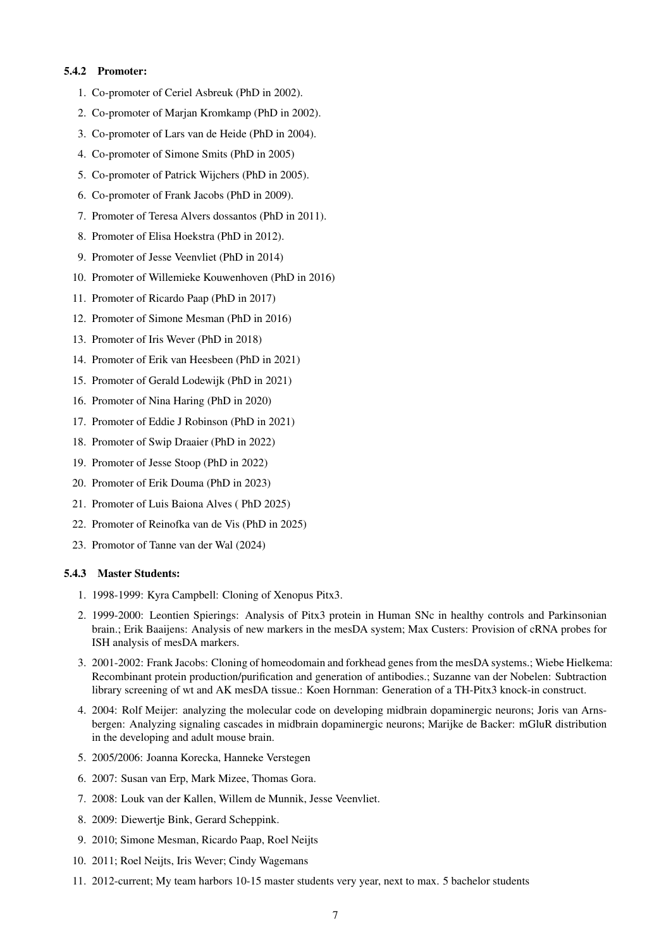#### <span id="page-6-0"></span>5.4.2 Promoter:

- 1. Co-promoter of Ceriel Asbreuk (PhD in 2002).
- 2. Co-promoter of Marjan Kromkamp (PhD in 2002).
- 3. Co-promoter of Lars van de Heide (PhD in 2004).
- 4. Co-promoter of Simone Smits (PhD in 2005)
- 5. Co-promoter of Patrick Wijchers (PhD in 2005).
- 6. Co-promoter of Frank Jacobs (PhD in 2009).
- 7. Promoter of Teresa Alvers dossantos (PhD in 2011).
- 8. Promoter of Elisa Hoekstra (PhD in 2012).
- 9. Promoter of Jesse Veenvliet (PhD in 2014)
- 10. Promoter of Willemieke Kouwenhoven (PhD in 2016)
- 11. Promoter of Ricardo Paap (PhD in 2017)
- 12. Promoter of Simone Mesman (PhD in 2016)
- 13. Promoter of Iris Wever (PhD in 2018)
- 14. Promoter of Erik van Heesbeen (PhD in 2021)
- 15. Promoter of Gerald Lodewijk (PhD in 2021)
- 16. Promoter of Nina Haring (PhD in 2020)
- 17. Promoter of Eddie J Robinson (PhD in 2021)
- 18. Promoter of Swip Draaier (PhD in 2022)
- 19. Promoter of Jesse Stoop (PhD in 2022)
- 20. Promoter of Erik Douma (PhD in 2023)
- 21. Promoter of Luis Baiona Alves ( PhD 2025)
- 22. Promoter of Reinofka van de Vis (PhD in 2025)
- 23. Promotor of Tanne van der Wal (2024)

#### <span id="page-6-1"></span>5.4.3 Master Students:

- 1. 1998-1999: Kyra Campbell: Cloning of Xenopus Pitx3.
- 2. 1999-2000: Leontien Spierings: Analysis of Pitx3 protein in Human SNc in healthy controls and Parkinsonian brain.; Erik Baaijens: Analysis of new markers in the mesDA system; Max Custers: Provision of cRNA probes for ISH analysis of mesDA markers.
- 3. 2001-2002: Frank Jacobs: Cloning of homeodomain and forkhead genes from the mesDA systems.; Wiebe Hielkema: Recombinant protein production/purification and generation of antibodies.; Suzanne van der Nobelen: Subtraction library screening of wt and AK mesDA tissue.: Koen Hornman: Generation of a TH-Pitx3 knock-in construct.
- 4. 2004: Rolf Meijer: analyzing the molecular code on developing midbrain dopaminergic neurons; Joris van Arnsbergen: Analyzing signaling cascades in midbrain dopaminergic neurons; Marijke de Backer: mGluR distribution in the developing and adult mouse brain.
- 5. 2005/2006: Joanna Korecka, Hanneke Verstegen
- 6. 2007: Susan van Erp, Mark Mizee, Thomas Gora.
- 7. 2008: Louk van der Kallen, Willem de Munnik, Jesse Veenvliet.
- 8. 2009: Diewertje Bink, Gerard Scheppink.
- 9. 2010; Simone Mesman, Ricardo Paap, Roel Neijts
- 10. 2011; Roel Neijts, Iris Wever; Cindy Wagemans
- 11. 2012-current; My team harbors 10-15 master students very year, next to max. 5 bachelor students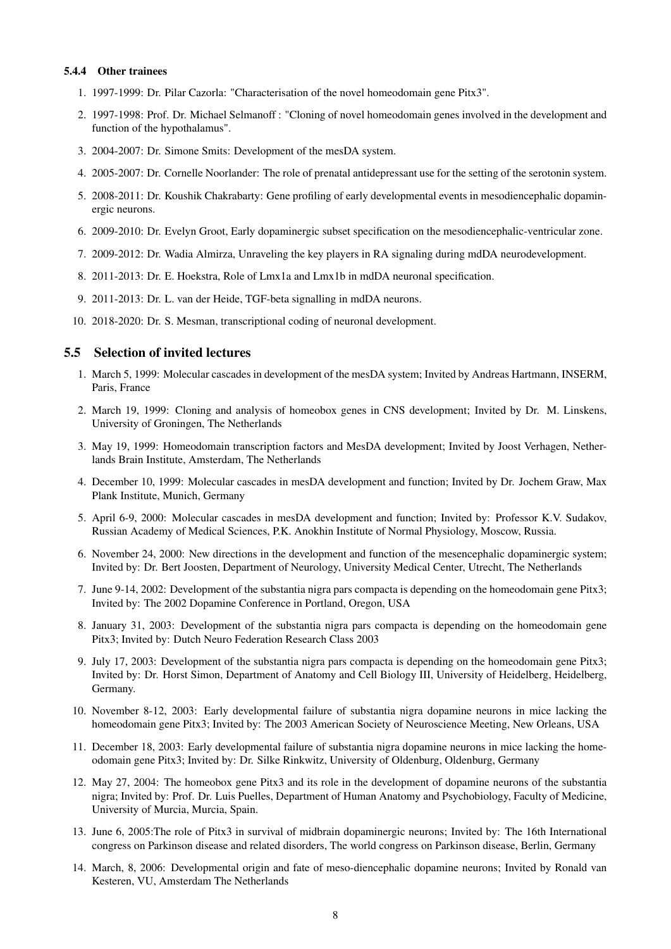#### <span id="page-7-0"></span>5.4.4 Other trainees

- 1. 1997-1999: Dr. Pilar Cazorla: "Characterisation of the novel homeodomain gene Pitx3".
- 2. 1997-1998: Prof. Dr. Michael Selmanoff : "Cloning of novel homeodomain genes involved in the development and function of the hypothalamus".
- 3. 2004-2007: Dr. Simone Smits: Development of the mesDA system.
- 4. 2005-2007: Dr. Cornelle Noorlander: The role of prenatal antidepressant use for the setting of the serotonin system.
- 5. 2008-2011: Dr. Koushik Chakrabarty: Gene profiling of early developmental events in mesodiencephalic dopaminergic neurons.
- 6. 2009-2010: Dr. Evelyn Groot, Early dopaminergic subset specification on the mesodiencephalic-ventricular zone.
- 7. 2009-2012: Dr. Wadia Almirza, Unraveling the key players in RA signaling during mdDA neurodevelopment.
- 8. 2011-2013: Dr. E. Hoekstra, Role of Lmx1a and Lmx1b in mdDA neuronal specification.
- 9. 2011-2013: Dr. L. van der Heide, TGF-beta signalling in mdDA neurons.
- 10. 2018-2020: Dr. S. Mesman, transcriptional coding of neuronal development.

### <span id="page-7-1"></span>5.5 Selection of invited lectures

- 1. March 5, 1999: Molecular cascades in development of the mesDA system; Invited by Andreas Hartmann, INSERM, Paris, France
- 2. March 19, 1999: Cloning and analysis of homeobox genes in CNS development; Invited by Dr. M. Linskens, University of Groningen, The Netherlands
- 3. May 19, 1999: Homeodomain transcription factors and MesDA development; Invited by Joost Verhagen, Netherlands Brain Institute, Amsterdam, The Netherlands
- 4. December 10, 1999: Molecular cascades in mesDA development and function; Invited by Dr. Jochem Graw, Max Plank Institute, Munich, Germany
- 5. April 6-9, 2000: Molecular cascades in mesDA development and function; Invited by: Professor K.V. Sudakov, Russian Academy of Medical Sciences, P.K. Anokhin Institute of Normal Physiology, Moscow, Russia.
- 6. November 24, 2000: New directions in the development and function of the mesencephalic dopaminergic system; Invited by: Dr. Bert Joosten, Department of Neurology, University Medical Center, Utrecht, The Netherlands
- 7. June 9-14, 2002: Development of the substantia nigra pars compacta is depending on the homeodomain gene Pitx3; Invited by: The 2002 Dopamine Conference in Portland, Oregon, USA
- 8. January 31, 2003: Development of the substantia nigra pars compacta is depending on the homeodomain gene Pitx3; Invited by: Dutch Neuro Federation Research Class 2003
- 9. July 17, 2003: Development of the substantia nigra pars compacta is depending on the homeodomain gene Pitx3; Invited by: Dr. Horst Simon, Department of Anatomy and Cell Biology III, University of Heidelberg, Heidelberg, Germany.
- 10. November 8-12, 2003: Early developmental failure of substantia nigra dopamine neurons in mice lacking the homeodomain gene Pitx3; Invited by: The 2003 American Society of Neuroscience Meeting, New Orleans, USA
- 11. December 18, 2003: Early developmental failure of substantia nigra dopamine neurons in mice lacking the homeodomain gene Pitx3; Invited by: Dr. Silke Rinkwitz, University of Oldenburg, Oldenburg, Germany
- 12. May 27, 2004: The homeobox gene Pitx3 and its role in the development of dopamine neurons of the substantia nigra; Invited by: Prof. Dr. Luis Puelles, Department of Human Anatomy and Psychobiology, Faculty of Medicine, University of Murcia, Murcia, Spain.
- 13. June 6, 2005:The role of Pitx3 in survival of midbrain dopaminergic neurons; Invited by: The 16th International congress on Parkinson disease and related disorders, The world congress on Parkinson disease, Berlin, Germany
- 14. March, 8, 2006: Developmental origin and fate of meso-diencephalic dopamine neurons; Invited by Ronald van Kesteren, VU, Amsterdam The Netherlands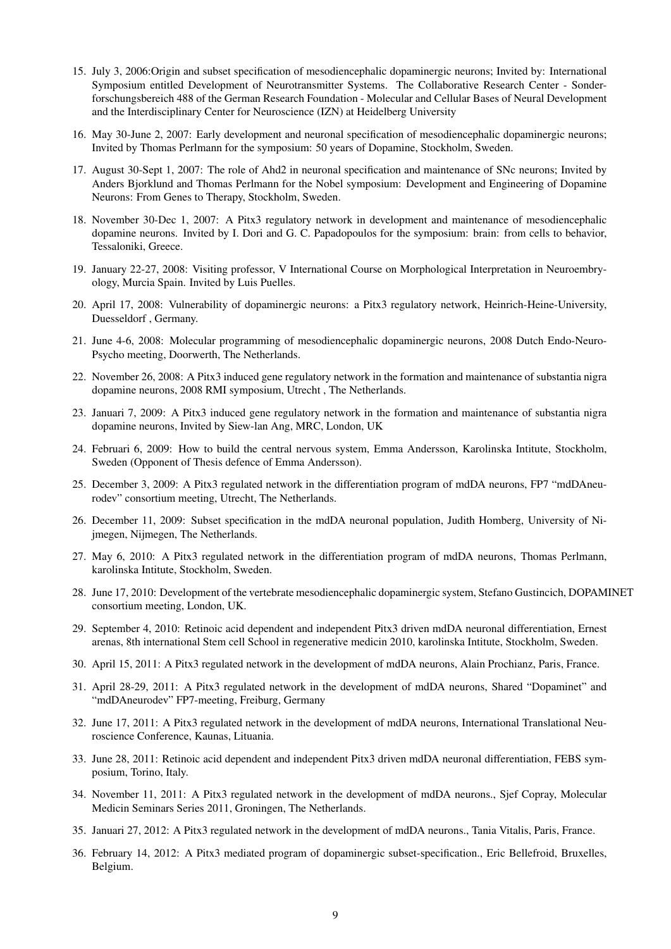- 15. July 3, 2006:Origin and subset specification of mesodiencephalic dopaminergic neurons; Invited by: International Symposium entitled Development of Neurotransmitter Systems. The Collaborative Research Center - Sonderforschungsbereich 488 of the German Research Foundation - Molecular and Cellular Bases of Neural Development and the Interdisciplinary Center for Neuroscience (IZN) at Heidelberg University
- 16. May 30-June 2, 2007: Early development and neuronal specification of mesodiencephalic dopaminergic neurons; Invited by Thomas Perlmann for the symposium: 50 years of Dopamine, Stockholm, Sweden.
- 17. August 30-Sept 1, 2007: The role of Ahd2 in neuronal specification and maintenance of SNc neurons; Invited by Anders Bjorklund and Thomas Perlmann for the Nobel symposium: Development and Engineering of Dopamine Neurons: From Genes to Therapy, Stockholm, Sweden.
- 18. November 30-Dec 1, 2007: A Pitx3 regulatory network in development and maintenance of mesodiencephalic dopamine neurons. Invited by I. Dori and G. C. Papadopoulos for the symposium: brain: from cells to behavior, Tessaloniki, Greece.
- 19. January 22-27, 2008: Visiting professor, V International Course on Morphological Interpretation in Neuroembryology, Murcia Spain. Invited by Luis Puelles.
- 20. April 17, 2008: Vulnerability of dopaminergic neurons: a Pitx3 regulatory network, Heinrich-Heine-University, Duesseldorf , Germany.
- 21. June 4-6, 2008: Molecular programming of mesodiencephalic dopaminergic neurons, 2008 Dutch Endo-Neuro-Psycho meeting, Doorwerth, The Netherlands.
- 22. November 26, 2008: A Pitx3 induced gene regulatory network in the formation and maintenance of substantia nigra dopamine neurons, 2008 RMI symposium, Utrecht , The Netherlands.
- 23. Januari 7, 2009: A Pitx3 induced gene regulatory network in the formation and maintenance of substantia nigra dopamine neurons, Invited by Siew-lan Ang, MRC, London, UK
- 24. Februari 6, 2009: How to build the central nervous system, Emma Andersson, Karolinska Intitute, Stockholm, Sweden (Opponent of Thesis defence of Emma Andersson).
- 25. December 3, 2009: A Pitx3 regulated network in the differentiation program of mdDA neurons, FP7 "mdDAneurodev" consortium meeting, Utrecht, The Netherlands.
- 26. December 11, 2009: Subset specification in the mdDA neuronal population, Judith Homberg, University of Nijmegen, Nijmegen, The Netherlands.
- 27. May 6, 2010: A Pitx3 regulated network in the differentiation program of mdDA neurons, Thomas Perlmann, karolinska Intitute, Stockholm, Sweden.
- 28. June 17, 2010: Development of the vertebrate mesodiencephalic dopaminergic system, Stefano Gustincich, DOPAMINET consortium meeting, London, UK.
- 29. September 4, 2010: Retinoic acid dependent and independent Pitx3 driven mdDA neuronal differentiation, Ernest arenas, 8th international Stem cell School in regenerative medicin 2010, karolinska Intitute, Stockholm, Sweden.
- 30. April 15, 2011: A Pitx3 regulated network in the development of mdDA neurons, Alain Prochianz, Paris, France.
- 31. April 28-29, 2011: A Pitx3 regulated network in the development of mdDA neurons, Shared "Dopaminet" and "mdDAneurodev" FP7-meeting, Freiburg, Germany
- 32. June 17, 2011: A Pitx3 regulated network in the development of mdDA neurons, International Translational Neuroscience Conference, Kaunas, Lituania.
- 33. June 28, 2011: Retinoic acid dependent and independent Pitx3 driven mdDA neuronal differentiation, FEBS symposium, Torino, Italy.
- 34. November 11, 2011: A Pitx3 regulated network in the development of mdDA neurons., Sjef Copray, Molecular Medicin Seminars Series 2011, Groningen, The Netherlands.
- 35. Januari 27, 2012: A Pitx3 regulated network in the development of mdDA neurons., Tania Vitalis, Paris, France.
- 36. February 14, 2012: A Pitx3 mediated program of dopaminergic subset-specification., Eric Bellefroid, Bruxelles, Belgium.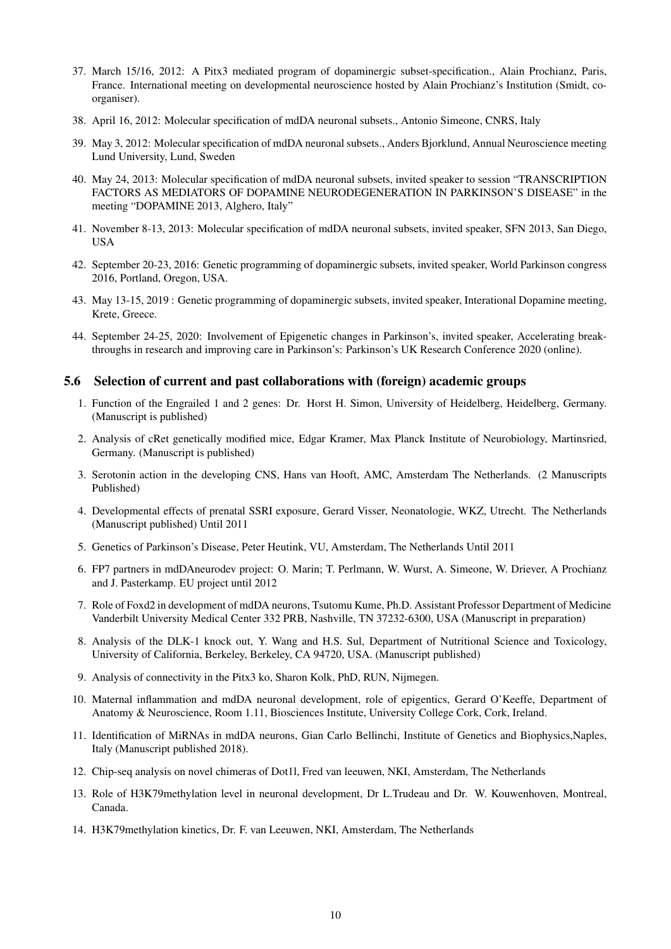- 37. March 15/16, 2012: A Pitx3 mediated program of dopaminergic subset-specification., Alain Prochianz, Paris, France. International meeting on developmental neuroscience hosted by Alain Prochianz's Institution (Smidt, coorganiser).
- 38. April 16, 2012: Molecular specification of mdDA neuronal subsets., Antonio Simeone, CNRS, Italy
- 39. May 3, 2012: Molecular specification of mdDA neuronal subsets., Anders Bjorklund, Annual Neuroscience meeting Lund University, Lund, Sweden
- 40. May 24, 2013: Molecular specification of mdDA neuronal subsets, invited speaker to session "TRANSCRIPTION FACTORS AS MEDIATORS OF DOPAMINE NEURODEGENERATION IN PARKINSON'S DISEASE" in the meeting "DOPAMINE 2013, Alghero, Italy"
- 41. November 8-13, 2013: Molecular specification of mdDA neuronal subsets, invited speaker, SFN 2013, San Diego, USA
- 42. September 20-23, 2016: Genetic programming of dopaminergic subsets, invited speaker, World Parkinson congress 2016, Portland, Oregon, USA.
- 43. May 13-15, 2019 : Genetic programming of dopaminergic subsets, invited speaker, Interational Dopamine meeting, Krete, Greece.
- 44. September 24-25, 2020: Involvement of Epigenetic changes in Parkinson's, invited speaker, Accelerating breakthroughs in research and improving care in Parkinson's: Parkinson's UK Research Conference 2020 (online).

#### <span id="page-9-0"></span>5.6 Selection of current and past collaborations with (foreign) academic groups

- 1. Function of the Engrailed 1 and 2 genes: Dr. Horst H. Simon, University of Heidelberg, Heidelberg, Germany. (Manuscript is published)
- 2. Analysis of cRet genetically modified mice, Edgar Kramer, Max Planck Institute of Neurobiology, Martinsried, Germany. (Manuscript is published)
- 3. Serotonin action in the developing CNS, Hans van Hooft, AMC, Amsterdam The Netherlands. (2 Manuscripts Published)
- 4. Developmental effects of prenatal SSRI exposure, Gerard Visser, Neonatologie, WKZ, Utrecht. The Netherlands (Manuscript published) Until 2011
- 5. Genetics of Parkinson's Disease, Peter Heutink, VU, Amsterdam, The Netherlands Until 2011
- 6. FP7 partners in mdDAneurodev project: O. Marin; T. Perlmann, W. Wurst, A. Simeone, W. Driever, A Prochianz and J. Pasterkamp. EU project until 2012
- 7. Role of Foxd2 in development of mdDA neurons, Tsutomu Kume, Ph.D. Assistant Professor Department of Medicine Vanderbilt University Medical Center 332 PRB, Nashville, TN 37232-6300, USA (Manuscript in preparation)
- 8. Analysis of the DLK-1 knock out, Y. Wang and H.S. Sul, Department of Nutritional Science and Toxicology, University of California, Berkeley, Berkeley, CA 94720, USA. (Manuscript published)
- 9. Analysis of connectivity in the Pitx3 ko, Sharon Kolk, PhD, RUN, Nijmegen.
- 10. Maternal inflammation and mdDA neuronal development, role of epigentics, Gerard O'Keeffe, Department of Anatomy & Neuroscience, Room 1.11, Biosciences Institute, University College Cork, Cork, Ireland.
- 11. Identification of MiRNAs in mdDA neurons, Gian Carlo Bellinchi, Institute of Genetics and Biophysics,Naples, Italy (Manuscript published 2018).
- 12. Chip-seq analysis on novel chimeras of Dot1l, Fred van leeuwen, NKI, Amsterdam, The Netherlands
- 13. Role of H3K79methylation level in neuronal development, Dr L.Trudeau and Dr. W. Kouwenhoven, Montreal, Canada.
- 14. H3K79methylation kinetics, Dr. F. van Leeuwen, NKI, Amsterdam, The Netherlands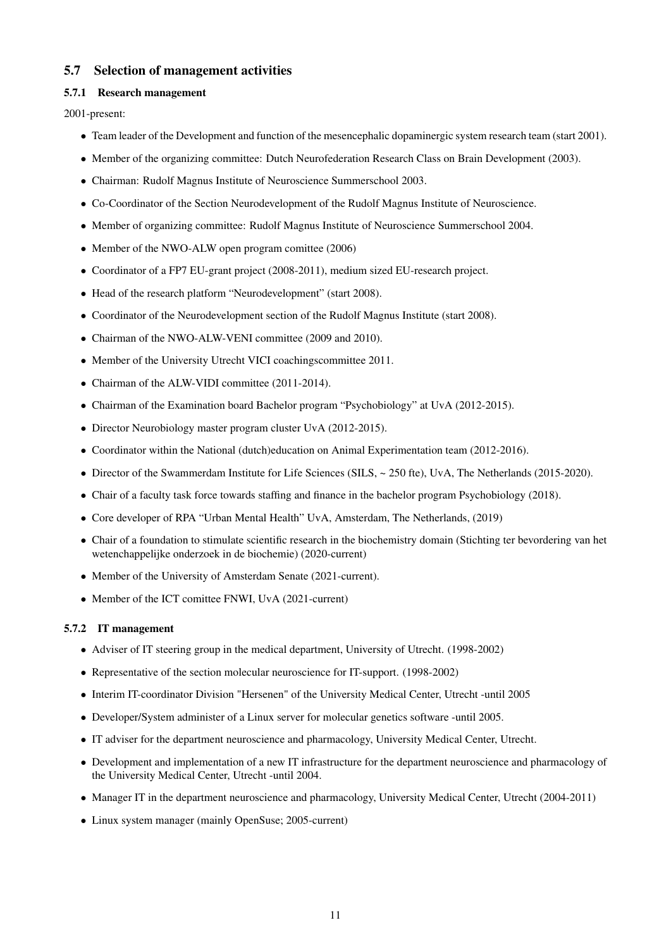## <span id="page-10-0"></span>5.7 Selection of management activities

#### <span id="page-10-1"></span>5.7.1 Research management

2001-present:

- Team leader of the Development and function of the mesencephalic dopaminergic system research team (start 2001).
- Member of the organizing committee: Dutch Neurofederation Research Class on Brain Development (2003).
- Chairman: Rudolf Magnus Institute of Neuroscience Summerschool 2003.
- Co-Coordinator of the Section Neurodevelopment of the Rudolf Magnus Institute of Neuroscience.
- Member of organizing committee: Rudolf Magnus Institute of Neuroscience Summerschool 2004.
- Member of the NWO-ALW open program comittee (2006)
- Coordinator of a FP7 EU-grant project (2008-2011), medium sized EU-research project.
- Head of the research platform "Neurodevelopment" (start 2008).
- Coordinator of the Neurodevelopment section of the Rudolf Magnus Institute (start 2008).
- Chairman of the NWO-ALW-VENI committee (2009 and 2010).
- Member of the University Utrecht VICI coachingscommittee 2011.
- Chairman of the ALW-VIDI committee (2011-2014).
- Chairman of the Examination board Bachelor program "Psychobiology" at UvA (2012-2015).
- Director Neurobiology master program cluster UvA (2012-2015).
- Coordinator within the National (dutch)education on Animal Experimentation team (2012-2016).
- Director of the Swammerdam Institute for Life Sciences (SILS,  $\sim$  250 fte), UvA, The Netherlands (2015-2020).
- Chair of a faculty task force towards staffing and finance in the bachelor program Psychobiology (2018).
- Core developer of RPA "Urban Mental Health" UvA, Amsterdam, The Netherlands, (2019)
- Chair of a foundation to stimulate scientific research in the biochemistry domain (Stichting ter bevordering van het wetenchappelijke onderzoek in de biochemie) (2020-current)
- Member of the University of Amsterdam Senate (2021-current).
- Member of the ICT comittee FNWI, UvA (2021-current)

#### <span id="page-10-2"></span>5.7.2 IT management

- Adviser of IT steering group in the medical department, University of Utrecht. (1998-2002)
- Representative of the section molecular neuroscience for IT-support. (1998-2002)
- Interim IT-coordinator Division "Hersenen" of the University Medical Center, Utrecht -until 2005
- Developer/System administer of a Linux server for molecular genetics software -until 2005.
- IT adviser for the department neuroscience and pharmacology, University Medical Center, Utrecht.
- Development and implementation of a new IT infrastructure for the department neuroscience and pharmacology of the University Medical Center, Utrecht -until 2004.
- Manager IT in the department neuroscience and pharmacology, University Medical Center, Utrecht (2004-2011)
- Linux system manager (mainly OpenSuse; 2005-current)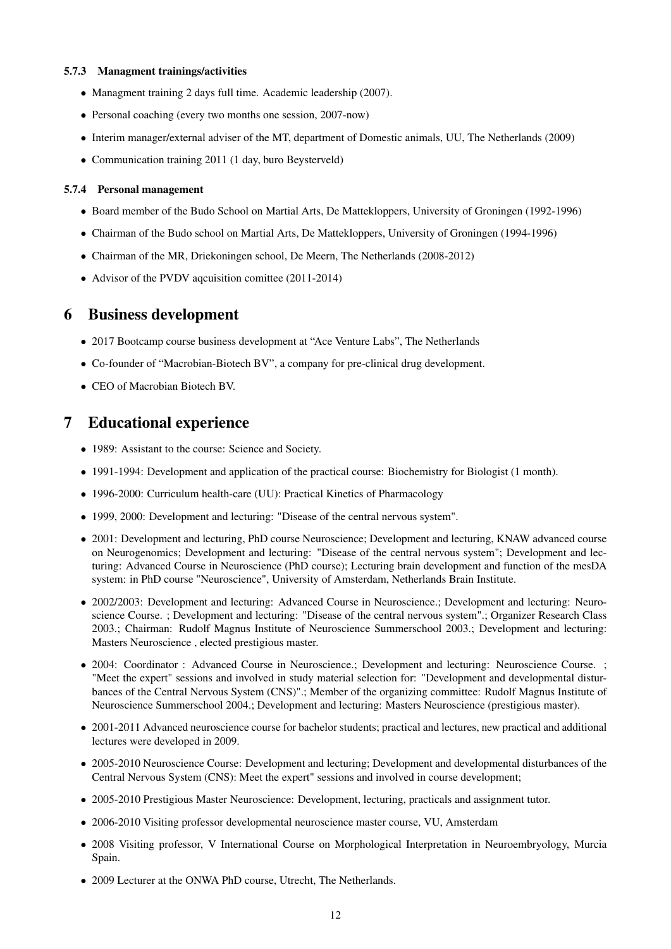#### <span id="page-11-0"></span>5.7.3 Managment trainings/activities

- Managment training 2 days full time. Academic leadership (2007).
- Personal coaching (every two months one session, 2007-now)
- Interim manager/external adviser of the MT, department of Domestic animals, UU, The Netherlands (2009)
- Communication training 2011 (1 day, buro Beysterveld)

#### <span id="page-11-1"></span>5.7.4 Personal management

- Board member of the Budo School on Martial Arts, De Mattekloppers, University of Groningen (1992-1996)
- Chairman of the Budo school on Martial Arts, De Mattekloppers, University of Groningen (1994-1996)
- Chairman of the MR, Driekoningen school, De Meern, The Netherlands (2008-2012)
- Advisor of the PVDV aqcuisition comittee (2011-2014)

# <span id="page-11-2"></span>6 Business development

- 2017 Bootcamp course business development at "Ace Venture Labs", The Netherlands
- Co-founder of "Macrobian-Biotech BV", a company for pre-clinical drug development.
- CEO of Macrobian Biotech BV.

# <span id="page-11-3"></span>7 Educational experience

- 1989: Assistant to the course: Science and Society.
- 1991-1994: Development and application of the practical course: Biochemistry for Biologist (1 month).
- 1996-2000: Curriculum health-care (UU): Practical Kinetics of Pharmacology
- 1999, 2000: Development and lecturing: "Disease of the central nervous system".
- 2001: Development and lecturing, PhD course Neuroscience; Development and lecturing, KNAW advanced course on Neurogenomics; Development and lecturing: "Disease of the central nervous system"; Development and lecturing: Advanced Course in Neuroscience (PhD course); Lecturing brain development and function of the mesDA system: in PhD course "Neuroscience", University of Amsterdam, Netherlands Brain Institute.
- 2002/2003: Development and lecturing: Advanced Course in Neuroscience.; Development and lecturing: Neuroscience Course. ; Development and lecturing: "Disease of the central nervous system".; Organizer Research Class 2003.; Chairman: Rudolf Magnus Institute of Neuroscience Summerschool 2003.; Development and lecturing: Masters Neuroscience , elected prestigious master.
- 2004: Coordinator : Advanced Course in Neuroscience.; Development and lecturing: Neuroscience Course. ; "Meet the expert" sessions and involved in study material selection for: "Development and developmental disturbances of the Central Nervous System (CNS)".; Member of the organizing committee: Rudolf Magnus Institute of Neuroscience Summerschool 2004.; Development and lecturing: Masters Neuroscience (prestigious master).
- 2001-2011 Advanced neuroscience course for bachelor students; practical and lectures, new practical and additional lectures were developed in 2009.
- 2005-2010 Neuroscience Course: Development and lecturing; Development and developmental disturbances of the Central Nervous System (CNS): Meet the expert" sessions and involved in course development;
- 2005-2010 Prestigious Master Neuroscience: Development, lecturing, practicals and assignment tutor.
- 2006-2010 Visiting professor developmental neuroscience master course, VU, Amsterdam
- 2008 Visiting professor, V International Course on Morphological Interpretation in Neuroembryology, Murcia Spain.
- 2009 Lecturer at the ONWA PhD course, Utrecht, The Netherlands.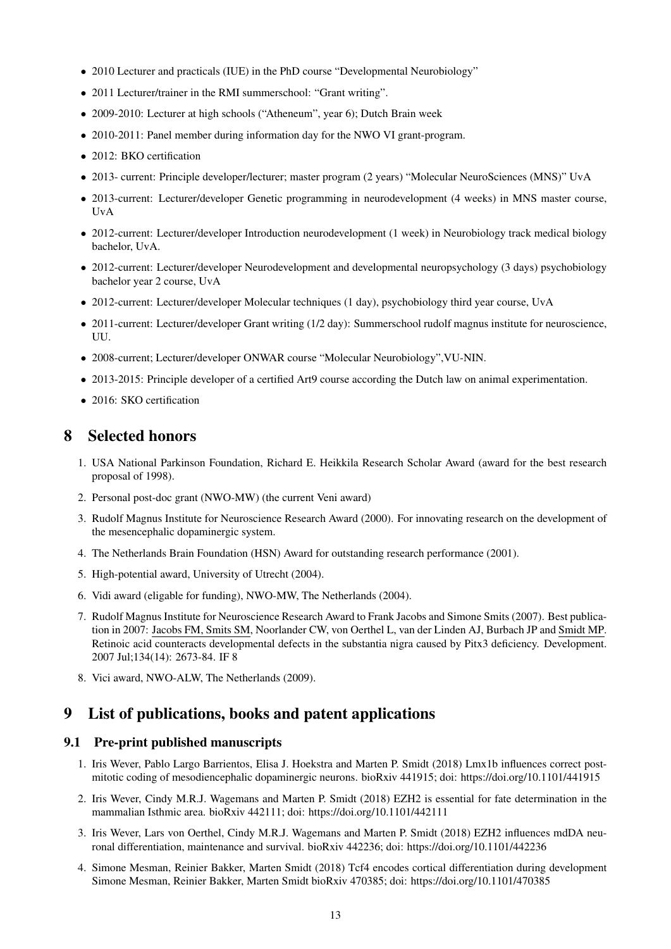- 2010 Lecturer and practicals (IUE) in the PhD course "Developmental Neurobiology"
- 2011 Lecturer/trainer in the RMI summerschool: "Grant writing".
- 2009-2010: Lecturer at high schools ("Atheneum", year 6); Dutch Brain week
- 2010-2011: Panel member during information day for the NWO VI grant-program.
- 2012: BKO certification
- 2013- current: Principle developer/lecturer; master program (2 years) "Molecular NeuroSciences (MNS)" UvA
- 2013-current: Lecturer/developer Genetic programming in neurodevelopment (4 weeks) in MNS master course, UvA
- 2012-current: Lecturer/developer Introduction neurodevelopment (1 week) in Neurobiology track medical biology bachelor, UvA.
- 2012-current: Lecturer/developer Neurodevelopment and developmental neuropsychology (3 days) psychobiology bachelor year 2 course, UvA
- 2012-current: Lecturer/developer Molecular techniques (1 day), psychobiology third year course, UvA
- 2011-current: Lecturer/developer Grant writing (1/2 day): Summerschool rudolf magnus institute for neuroscience, UU.
- 2008-current; Lecturer/developer ONWAR course "Molecular Neurobiology",VU-NIN.
- 2013-2015: Principle developer of a certified Art9 course according the Dutch law on animal experimentation.
- 2016: SKO certification

# <span id="page-12-0"></span>8 Selected honors

- 1. USA National Parkinson Foundation, Richard E. Heikkila Research Scholar Award (award for the best research proposal of 1998).
- 2. Personal post-doc grant (NWO-MW) (the current Veni award)
- 3. Rudolf Magnus Institute for Neuroscience Research Award (2000). For innovating research on the development of the mesencephalic dopaminergic system.
- 4. The Netherlands Brain Foundation (HSN) Award for outstanding research performance (2001).
- 5. High-potential award, University of Utrecht (2004).
- 6. Vidi award (eligable for funding), NWO-MW, The Netherlands (2004).
- 7. Rudolf Magnus Institute for Neuroscience Research Award to Frank Jacobs and Simone Smits (2007). Best publication in 2007: Jacobs FM, Smits SM, Noorlander CW, von Oerthel L, van der Linden AJ, Burbach JP and Smidt MP. Retinoic acid counteracts developmental defects in the substantia nigra caused by Pitx3 deficiency. Development. 2007 Jul;134(14): 2673-84. IF 8
- 8. Vici award, NWO-ALW, The Netherlands (2009).

# <span id="page-12-1"></span>9 List of publications, books and patent applications

### <span id="page-12-2"></span>9.1 Pre-print published manuscripts

- 1. Iris Wever, Pablo Largo Barrientos, Elisa J. Hoekstra and Marten P. Smidt (2018) Lmx1b influences correct postmitotic coding of mesodiencephalic dopaminergic neurons. bioRxiv 441915; doi: https://doi.org/10.1101/441915
- 2. Iris Wever, Cindy M.R.J. Wagemans and Marten P. Smidt (2018) EZH2 is essential for fate determination in the mammalian Isthmic area. bioRxiv 442111; doi: https://doi.org/10.1101/442111
- 3. Iris Wever, Lars von Oerthel, Cindy M.R.J. Wagemans and Marten P. Smidt (2018) EZH2 influences mdDA neuronal differentiation, maintenance and survival. bioRxiv 442236; doi: https://doi.org/10.1101/442236
- 4. Simone Mesman, Reinier Bakker, Marten Smidt (2018) Tcf4 encodes cortical differentiation during development Simone Mesman, Reinier Bakker, Marten Smidt bioRxiv 470385; doi: https://doi.org/10.1101/470385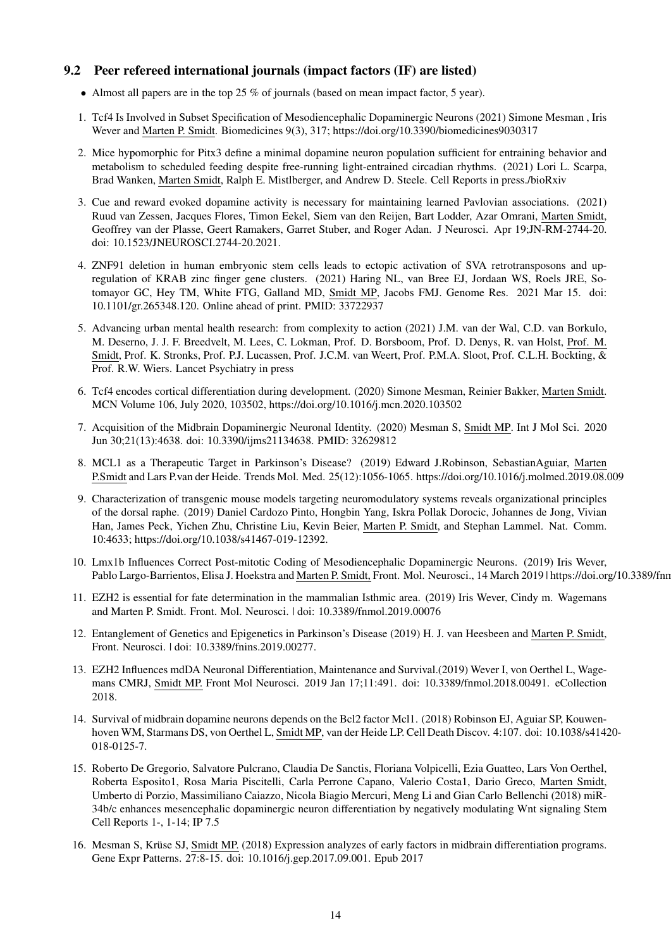# <span id="page-13-0"></span>9.2 Peer refereed international journals (impact factors (IF) are listed)

- Almost all papers are in the top 25 % of journals (based on mean impact factor, 5 year).
- 1. Tcf4 Is Involved in Subset Specification of Mesodiencephalic Dopaminergic Neurons (2021) Simone Mesman , Iris Wever and Marten P. Smidt. Biomedicines 9(3), 317; https://doi.org/10.3390/biomedicines9030317
- 2. Mice hypomorphic for Pitx3 define a minimal dopamine neuron population sufficient for entraining behavior and metabolism to scheduled feeding despite free-running light-entrained circadian rhythms. (2021) Lori L. Scarpa, Brad Wanken, Marten Smidt, Ralph E. Mistlberger, and Andrew D. Steele. Cell Reports in press./bioRxiv
- 3. Cue and reward evoked dopamine activity is necessary for maintaining learned Pavlovian associations. (2021) Ruud van Zessen, Jacques Flores, Timon Eekel, Siem van den Reijen, Bart Lodder, Azar Omrani, Marten Smidt, Geoffrey van der Plasse, Geert Ramakers, Garret Stuber, and Roger Adan. J Neurosci. Apr 19;JN-RM-2744-20. doi: 10.1523/JNEUROSCI.2744-20.2021.
- 4. ZNF91 deletion in human embryonic stem cells leads to ectopic activation of SVA retrotransposons and upregulation of KRAB zinc finger gene clusters. (2021) Haring NL, van Bree EJ, Jordaan WS, Roels JRE, Sotomayor GC, Hey TM, White FTG, Galland MD, Smidt MP, Jacobs FMJ. Genome Res. 2021 Mar 15. doi: 10.1101/gr.265348.120. Online ahead of print. PMID: 33722937
- 5. Advancing urban mental health research: from complexity to action (2021) J.M. van der Wal, C.D. van Borkulo, M. Deserno, J. J. F. Breedvelt, M. Lees, C. Lokman, Prof. D. Borsboom, Prof. D. Denys, R. van Holst, Prof. M. Smidt, Prof. K. Stronks, Prof. P.J. Lucassen, Prof. J.C.M. van Weert, Prof. P.M.A. Sloot, Prof. C.L.H. Bockting, & Prof. R.W. Wiers. Lancet Psychiatry in press
- 6. Tcf4 encodes cortical differentiation during development. (2020) Simone Mesman, Reinier Bakker, Marten Smidt. MCN Volume 106, July 2020, 103502, https://doi.org/10.1016/j.mcn.2020.103502
- 7. Acquisition of the Midbrain Dopaminergic Neuronal Identity. (2020) Mesman S, Smidt MP. Int J Mol Sci. 2020 Jun 30;21(13):4638. doi: 10.3390/ijms21134638. PMID: 32629812
- 8. MCL1 as a Therapeutic Target in Parkinson's Disease? (2019) Edward J.Robinson, SebastianAguiar, Marten P.Smidt and Lars P.van der Heide. Trends Mol. Med. 25(12):1056-1065. https://doi.org/10.1016/j.molmed.2019.08.009
- 9. Characterization of transgenic mouse models targeting neuromodulatory systems reveals organizational principles of the dorsal raphe. (2019) Daniel Cardozo Pinto, Hongbin Yang, Iskra Pollak Dorocic, Johannes de Jong, Vivian Han, James Peck, Yichen Zhu, Christine Liu, Kevin Beier, Marten P. Smidt, and Stephan Lammel. Nat. Comm. 10:4633; https://doi.org/10.1038/s41467-019-12392.
- 10. Lmx1b Influences Correct Post-mitotic Coding of Mesodiencephalic Dopaminergic Neurons. (2019) Iris Wever, Pablo Largo-Barrientos, Elisa J. Hoekstra and Marten P. Smidt, Front. Mol. Neurosci., 14 March 2019 | https://doi.org/10.3389/fnn
- 11. EZH2 is essential for fate determination in the mammalian Isthmic area. (2019) Iris Wever, Cindy m. Wagemans and Marten P. Smidt. Front. Mol. Neurosci. | doi: 10.3389/fnmol.2019.00076
- 12. Entanglement of Genetics and Epigenetics in Parkinson's Disease (2019) H. J. van Heesbeen and Marten P. Smidt, Front. Neurosci. | doi: 10.3389/fnins.2019.00277.
- 13. EZH2 Influences mdDA Neuronal Differentiation, Maintenance and Survival.(2019) Wever I, von Oerthel L, Wagemans CMRJ, Smidt MP. Front Mol Neurosci. 2019 Jan 17;11:491. doi: 10.3389/fnmol.2018.00491. eCollection 2018.
- 14. Survival of midbrain dopamine neurons depends on the Bcl2 factor Mcl1. (2018) Robinson EJ, Aguiar SP, Kouwenhoven WM, Starmans DS, von Oerthel L, Smidt MP, van der Heide LP. Cell Death Discov. 4:107. doi: 10.1038/s41420- 018-0125-7.
- 15. Roberto De Gregorio, Salvatore Pulcrano, Claudia De Sanctis, Floriana Volpicelli, Ezia Guatteo, Lars Von Oerthel, Roberta Esposito1, Rosa Maria Piscitelli, Carla Perrone Capano, Valerio Costa1, Dario Greco, Marten Smidt, Umberto di Porzio, Massimiliano Caiazzo, Nicola Biagio Mercuri, Meng Li and Gian Carlo Bellenchi (2018) miR-34b/c enhances mesencephalic dopaminergic neuron differentiation by negatively modulating Wnt signaling Stem Cell Reports 1-, 1-14; IP 7.5
- 16. Mesman S, Krüse SJ, Smidt MP. (2018) Expression analyzes of early factors in midbrain differentiation programs. Gene Expr Patterns. 27:8-15. doi: 10.1016/j.gep.2017.09.001. Epub 2017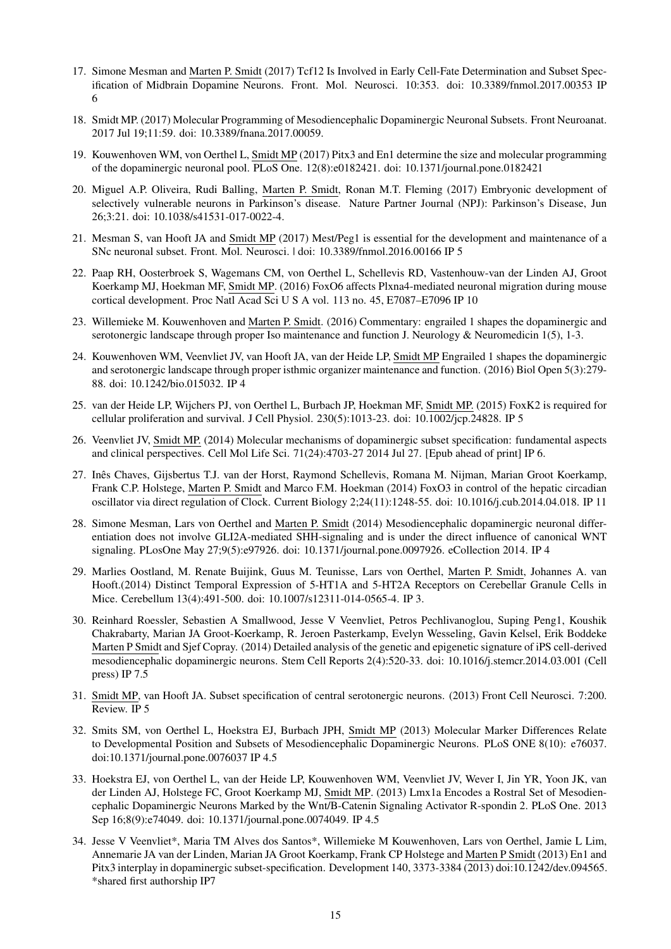- 17. Simone Mesman and Marten P. Smidt (2017) Tcf12 Is Involved in Early Cell-Fate Determination and Subset Specification of Midbrain Dopamine Neurons. Front. Mol. Neurosci. 10:353. doi: 10.3389/fnmol.2017.00353 IP 6
- 18. Smidt MP. (2017) Molecular Programming of Mesodiencephalic Dopaminergic Neuronal Subsets. Front Neuroanat. 2017 Jul 19;11:59. doi: 10.3389/fnana.2017.00059.
- 19. Kouwenhoven WM, von Oerthel L, Smidt MP (2017) Pitx3 and En1 determine the size and molecular programming of the dopaminergic neuronal pool. PLoS One. 12(8):e0182421. doi: 10.1371/journal.pone.0182421
- 20. Miguel A.P. Oliveira, Rudi Balling, Marten P. Smidt, Ronan M.T. Fleming (2017) Embryonic development of selectively vulnerable neurons in Parkinson's disease. Nature Partner Journal (NPJ): Parkinson's Disease, Jun 26;3:21. doi: 10.1038/s41531-017-0022-4.
- 21. Mesman S, van Hooft JA and Smidt MP (2017) Mest/Peg1 is essential for the development and maintenance of a SNc neuronal subset. Front. Mol. Neurosci. | doi: 10.3389/fnmol.2016.00166 IP 5
- 22. Paap RH, Oosterbroek S, Wagemans CM, von Oerthel L, Schellevis RD, Vastenhouw-van der Linden AJ, Groot Koerkamp MJ, Hoekman MF, Smidt MP. (2016) FoxO6 affects Plxna4-mediated neuronal migration during mouse cortical development. Proc Natl Acad Sci U S A vol. 113 no. 45, E7087–E7096 IP 10
- 23. Willemieke M. Kouwenhoven and Marten P. Smidt. (2016) Commentary: engrailed 1 shapes the dopaminergic and serotonergic landscape through proper Iso maintenance and function J. Neurology & Neuromedicin 1(5), 1-3.
- 24. Kouwenhoven WM, Veenvliet JV, van Hooft JA, van der Heide LP, Smidt MP Engrailed 1 shapes the dopaminergic and serotonergic landscape through proper isthmic organizer maintenance and function. (2016) Biol Open 5(3):279- 88. doi: 10.1242/bio.015032. IP 4
- 25. van der Heide LP, Wijchers PJ, von Oerthel L, Burbach JP, Hoekman MF, Smidt MP. (2015) FoxK2 is required for cellular proliferation and survival. J Cell Physiol. 230(5):1013-23. doi: 10.1002/jcp.24828. IP 5
- 26. Veenvliet JV, Smidt MP. (2014) Molecular mechanisms of dopaminergic subset specification: fundamental aspects and clinical perspectives. Cell Mol Life Sci. 71(24):4703-27 2014 Jul 27. [Epub ahead of print] IP 6.
- 27. Inês Chaves, Gijsbertus T.J. van der Horst, Raymond Schellevis, Romana M. Nijman, Marian Groot Koerkamp, Frank C.P. Holstege, Marten P. Smidt and Marco F.M. Hoekman (2014) FoxO3 in control of the hepatic circadian oscillator via direct regulation of Clock. Current Biology 2;24(11):1248-55. doi: 10.1016/j.cub.2014.04.018. IP 11
- 28. Simone Mesman, Lars von Oerthel and Marten P. Smidt (2014) Mesodiencephalic dopaminergic neuronal differentiation does not involve GLI2A-mediated SHH-signaling and is under the direct influence of canonical WNT signaling. PLosOne May 27;9(5):e97926. doi: 10.1371/journal.pone.0097926. eCollection 2014. IP 4
- 29. Marlies Oostland, M. Renate Buijink, Guus M. Teunisse, Lars von Oerthel, Marten P. Smidt, Johannes A. van Hooft.(2014) Distinct Temporal Expression of 5-HT1A and 5-HT2A Receptors on Cerebellar Granule Cells in Mice. Cerebellum 13(4):491-500. doi: 10.1007/s12311-014-0565-4. IP 3.
- 30. Reinhard Roessler, Sebastien A Smallwood, Jesse V Veenvliet, Petros Pechlivanoglou, Suping Peng1, Koushik Chakrabarty, Marian JA Groot-Koerkamp, R. Jeroen Pasterkamp, Evelyn Wesseling, Gavin Kelsel, Erik Boddeke Marten P Smidt and Sjef Copray. (2014) Detailed analysis of the genetic and epigenetic signature of iPS cell-derived mesodiencephalic dopaminergic neurons. Stem Cell Reports 2(4):520-33. doi: 10.1016/j.stemcr.2014.03.001 (Cell press) IP 7.5
- 31. Smidt MP, van Hooft JA. Subset specification of central serotonergic neurons. (2013) Front Cell Neurosci. 7:200. Review. IP 5
- 32. Smits SM, von Oerthel L, Hoekstra EJ, Burbach JPH, Smidt MP (2013) Molecular Marker Differences Relate to Developmental Position and Subsets of Mesodiencephalic Dopaminergic Neurons. PLoS ONE 8(10): e76037. doi:10.1371/journal.pone.0076037 IP 4.5
- 33. Hoekstra EJ, von Oerthel L, van der Heide LP, Kouwenhoven WM, Veenvliet JV, Wever I, Jin YR, Yoon JK, van der Linden AJ, Holstege FC, Groot Koerkamp MJ, Smidt MP. (2013) Lmx1a Encodes a Rostral Set of Mesodiencephalic Dopaminergic Neurons Marked by the Wnt/B-Catenin Signaling Activator R-spondin 2. PLoS One. 2013 Sep 16;8(9):e74049. doi: 10.1371/journal.pone.0074049. IP 4.5
- 34. Jesse V Veenvliet\*, Maria TM Alves dos Santos\*, Willemieke M Kouwenhoven, Lars von Oerthel, Jamie L Lim, Annemarie JA van der Linden, Marian JA Groot Koerkamp, Frank CP Holstege and Marten P Smidt (2013) En1 and Pitx3 interplay in dopaminergic subset-specification. Development 140, 3373-3384 (2013) doi:10.1242/dev.094565. \*shared first authorship IP7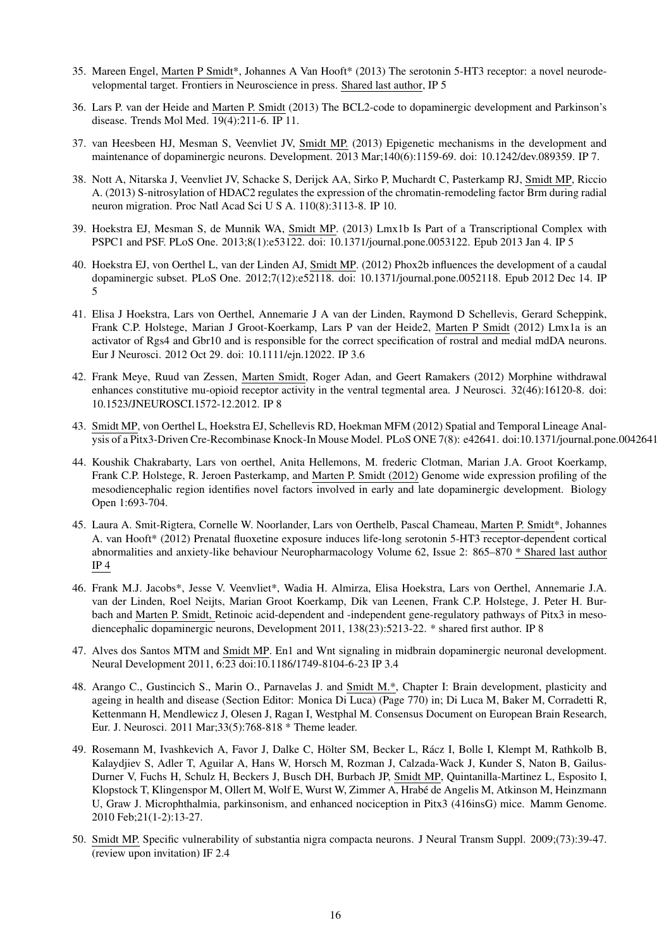- 35. Mareen Engel, Marten P Smidt\*, Johannes A Van Hooft\* (2013) The serotonin 5-HT3 receptor: a novel neurodevelopmental target. Frontiers in Neuroscience in press. Shared last author, IP 5
- 36. Lars P. van der Heide and Marten P. Smidt (2013) The BCL2-code to dopaminergic development and Parkinson's disease. Trends Mol Med. 19(4):211-6. IP 11.
- 37. van Heesbeen HJ, Mesman S, Veenvliet JV, Smidt MP. (2013) Epigenetic mechanisms in the development and maintenance of dopaminergic neurons. Development. 2013 Mar;140(6):1159-69. doi: 10.1242/dev.089359. IP 7.
- 38. Nott A, Nitarska J, Veenvliet JV, Schacke S, Derijck AA, Sirko P, Muchardt C, Pasterkamp RJ, Smidt MP, Riccio A. (2013) S-nitrosylation of HDAC2 regulates the expression of the chromatin-remodeling factor Brm during radial neuron migration. Proc Natl Acad Sci U S A. 110(8):3113-8. IP 10.
- 39. Hoekstra EJ, Mesman S, de Munnik WA, Smidt MP. (2013) Lmx1b Is Part of a Transcriptional Complex with PSPC1 and PSF. PLoS One. 2013;8(1):e53122. doi: 10.1371/journal.pone.0053122. Epub 2013 Jan 4. IP 5
- 40. Hoekstra EJ, von Oerthel L, van der Linden AJ, Smidt MP. (2012) Phox2b influences the development of a caudal dopaminergic subset. PLoS One. 2012;7(12):e52118. doi: 10.1371/journal.pone.0052118. Epub 2012 Dec 14. IP 5
- 41. Elisa J Hoekstra, Lars von Oerthel, Annemarie J A van der Linden, Raymond D Schellevis, Gerard Scheppink, Frank C.P. Holstege, Marian J Groot-Koerkamp, Lars P van der Heide2, Marten P Smidt (2012) Lmx1a is an activator of Rgs4 and Gbr10 and is responsible for the correct specification of rostral and medial mdDA neurons. Eur J Neurosci. 2012 Oct 29. doi: 10.1111/ejn.12022. IP 3.6
- 42. Frank Meye, Ruud van Zessen, Marten Smidt, Roger Adan, and Geert Ramakers (2012) Morphine withdrawal enhances constitutive mu-opioid receptor activity in the ventral tegmental area. J Neurosci. 32(46):16120-8. doi: 10.1523/JNEUROSCI.1572-12.2012. IP 8
- 43. Smidt MP, von Oerthel L, Hoekstra EJ, Schellevis RD, Hoekman MFM (2012) Spatial and Temporal Lineage Analysis of a Pitx3-Driven Cre-Recombinase Knock-In Mouse Model. PLoS ONE 7(8): e42641. doi:10.1371/journal.pone.0042641
- 44. Koushik Chakrabarty, Lars von oerthel, Anita Hellemons, M. frederic Clotman, Marian J.A. Groot Koerkamp, Frank C.P. Holstege, R. Jeroen Pasterkamp, and Marten P. Smidt (2012) Genome wide expression profiling of the mesodiencephalic region identifies novel factors involved in early and late dopaminergic development. Biology Open 1:693-704.
- 45. Laura A. Smit-Rigtera, Cornelle W. Noorlander, Lars von Oerthelb, Pascal Chameau, Marten P. Smidt\*, Johannes A. van Hooft\* (2012) Prenatal fluoxetine exposure induces life-long serotonin 5-HT3 receptor-dependent cortical abnormalities and anxiety-like behaviour Neuropharmacology Volume 62, Issue 2: 865–870 \* Shared last author IP 4
- 46. Frank M.J. Jacobs\*, Jesse V. Veenvliet\*, Wadia H. Almirza, Elisa Hoekstra, Lars von Oerthel, Annemarie J.A. van der Linden, Roel Neijts, Marian Groot Koerkamp, Dik van Leenen, Frank C.P. Holstege, J. Peter H. Burbach and Marten P. Smidt, Retinoic acid-dependent and -independent gene-regulatory pathways of Pitx3 in mesodiencephalic dopaminergic neurons, Development 2011, 138(23):5213-22. \* shared first author. IP 8
- 47. Alves dos Santos MTM and Smidt MP. En1 and Wnt signaling in midbrain dopaminergic neuronal development. Neural Development 2011, 6:23 doi:10.1186/1749-8104-6-23 IP 3.4
- 48. Arango C., Gustincich S., Marin O., Parnavelas J. and Smidt M.\*, Chapter I: Brain development, plasticity and ageing in health and disease (Section Editor: Monica Di Luca) (Page 770) in; Di Luca M, Baker M, Corradetti R, Kettenmann H, Mendlewicz J, Olesen J, Ragan I, Westphal M. Consensus Document on European Brain Research, Eur. J. Neurosci. 2011 Mar;33(5):768-818 \* Theme leader.
- 49. Rosemann M, Ivashkevich A, Favor J, Dalke C, Hölter SM, Becker L, Rácz I, Bolle I, Klempt M, Rathkolb B, Kalaydjiev S, Adler T, Aguilar A, Hans W, Horsch M, Rozman J, Calzada-Wack J, Kunder S, Naton B, Gailus-Durner V, Fuchs H, Schulz H, Beckers J, Busch DH, Burbach JP, Smidt MP, Quintanilla-Martinez L, Esposito I, Klopstock T, Klingenspor M, Ollert M, Wolf E, Wurst W, Zimmer A, Hrabé de Angelis M, Atkinson M, Heinzmann U, Graw J. Microphthalmia, parkinsonism, and enhanced nociception in Pitx3 (416insG) mice. Mamm Genome. 2010 Feb;21(1-2):13-27.
- 50. Smidt MP. Specific vulnerability of substantia nigra compacta neurons. J Neural Transm Suppl. 2009;(73):39-47. (review upon invitation) IF 2.4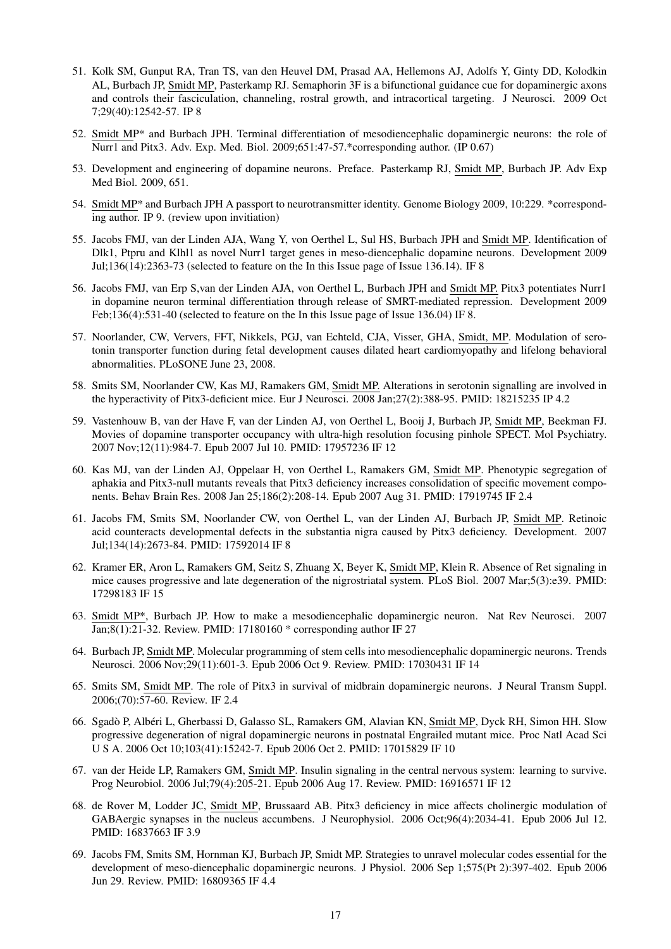- 51. Kolk SM, Gunput RA, Tran TS, van den Heuvel DM, Prasad AA, Hellemons AJ, Adolfs Y, Ginty DD, Kolodkin AL, Burbach JP, Smidt MP, Pasterkamp RJ. Semaphorin 3F is a bifunctional guidance cue for dopaminergic axons and controls their fasciculation, channeling, rostral growth, and intracortical targeting. J Neurosci. 2009 Oct 7;29(40):12542-57. IP 8
- 52. Smidt MP\* and Burbach JPH. Terminal differentiation of mesodiencephalic dopaminergic neurons: the role of Nurr1 and Pitx3. Adv. Exp. Med. Biol. 2009;651:47-57.\*corresponding author. (IP 0.67)
- 53. Development and engineering of dopamine neurons. Preface. Pasterkamp RJ, Smidt MP, Burbach JP. Adv Exp Med Biol. 2009, 651.
- 54. Smidt MP\* and Burbach JPH A passport to neurotransmitter identity. Genome Biology 2009, 10:229. \*corresponding author. IP 9. (review upon invitiation)
- 55. Jacobs FMJ, van der Linden AJA, Wang Y, von Oerthel L, Sul HS, Burbach JPH and Smidt MP. Identification of Dlk1, Ptpru and Klhl1 as novel Nurr1 target genes in meso-diencephalic dopamine neurons. Development 2009 Jul;136(14):2363-73 (selected to feature on the In this Issue page of Issue 136.14). IF 8
- <span id="page-16-2"></span>56. Jacobs FMJ, van Erp S,van der Linden AJA, von Oerthel L, Burbach JPH and Smidt MP. Pitx3 potentiates Nurr1 in dopamine neuron terminal differentiation through release of SMRT-mediated repression. Development 2009 Feb;136(4):531-40 (selected to feature on the In this Issue page of Issue 136.04) IF 8.
- 57. Noorlander, CW, Ververs, FFT, Nikkels, PGJ, van Echteld, CJA, Visser, GHA, Smidt, MP. Modulation of serotonin transporter function during fetal development causes dilated heart cardiomyopathy and lifelong behavioral abnormalities. PLoSONE June 23, 2008.
- 58. Smits SM, Noorlander CW, Kas MJ, Ramakers GM, Smidt MP. Alterations in serotonin signalling are involved in the hyperactivity of Pitx3-deficient mice. Eur J Neurosci. 2008 Jan;27(2):388-95. PMID: 18215235 IP 4.2
- <span id="page-16-0"></span>59. Vastenhouw B, van der Have F, van der Linden AJ, von Oerthel L, Booij J, Burbach JP, Smidt MP, Beekman FJ. Movies of dopamine transporter occupancy with ultra-high resolution focusing pinhole SPECT. Mol Psychiatry. 2007 Nov;12(11):984-7. Epub 2007 Jul 10. PMID: 17957236 IF 12
- 60. Kas MJ, van der Linden AJ, Oppelaar H, von Oerthel L, Ramakers GM, Smidt MP. Phenotypic segregation of aphakia and Pitx3-null mutants reveals that Pitx3 deficiency increases consolidation of specific movement components. Behav Brain Res. 2008 Jan 25;186(2):208-14. Epub 2007 Aug 31. PMID: 17919745 IF 2.4
- <span id="page-16-1"></span>61. Jacobs FM, Smits SM, Noorlander CW, von Oerthel L, van der Linden AJ, Burbach JP, Smidt MP. Retinoic acid counteracts developmental defects in the substantia nigra caused by Pitx3 deficiency. Development. 2007 Jul;134(14):2673-84. PMID: 17592014 IF 8
- 62. Kramer ER, Aron L, Ramakers GM, Seitz S, Zhuang X, Beyer K, Smidt MP, Klein R. Absence of Ret signaling in mice causes progressive and late degeneration of the nigrostriatal system. PLoS Biol. 2007 Mar;5(3):e39. PMID: 17298183 IF 15
- 63. Smidt MP\*, Burbach JP. How to make a mesodiencephalic dopaminergic neuron. Nat Rev Neurosci. 2007 Jan;8(1):21-32. Review. PMID: 17180160 \* corresponding author IF 27
- 64. Burbach JP, Smidt MP. Molecular programming of stem cells into mesodiencephalic dopaminergic neurons. Trends Neurosci. 2006 Nov;29(11):601-3. Epub 2006 Oct 9. Review. PMID: 17030431 IF 14
- 65. Smits SM, Smidt MP. The role of Pitx3 in survival of midbrain dopaminergic neurons. J Neural Transm Suppl. 2006;(70):57-60. Review. IF 2.4
- 66. Sgadò P, Albéri L, Gherbassi D, Galasso SL, Ramakers GM, Alavian KN, Smidt MP, Dyck RH, Simon HH. Slow progressive degeneration of nigral dopaminergic neurons in postnatal Engrailed mutant mice. Proc Natl Acad Sci U S A. 2006 Oct 10;103(41):15242-7. Epub 2006 Oct 2. PMID: 17015829 IF 10
- 67. van der Heide LP, Ramakers GM, Smidt MP. Insulin signaling in the central nervous system: learning to survive. Prog Neurobiol. 2006 Jul;79(4):205-21. Epub 2006 Aug 17. Review. PMID: 16916571 IF 12
- 68. de Rover M, Lodder JC, Smidt MP, Brussaard AB. Pitx3 deficiency in mice affects cholinergic modulation of GABAergic synapses in the nucleus accumbens. J Neurophysiol. 2006 Oct;96(4):2034-41. Epub 2006 Jul 12. PMID: 16837663 IF 3.9
- 69. Jacobs FM, Smits SM, Hornman KJ, Burbach JP, Smidt MP. Strategies to unravel molecular codes essential for the development of meso-diencephalic dopaminergic neurons. J Physiol. 2006 Sep 1;575(Pt 2):397-402. Epub 2006 Jun 29. Review. PMID: 16809365 IF 4.4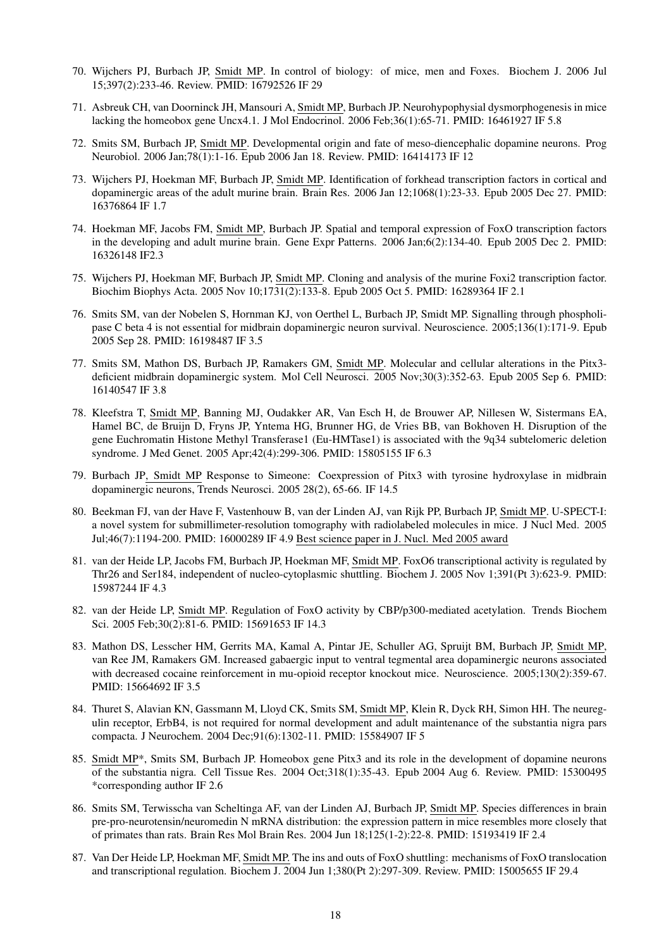- 70. Wijchers PJ, Burbach JP, Smidt MP. In control of biology: of mice, men and Foxes. Biochem J. 2006 Jul 15;397(2):233-46. Review. PMID: 16792526 IF 29
- 71. Asbreuk CH, van Doorninck JH, Mansouri A, Smidt MP, Burbach JP. Neurohypophysial dysmorphogenesis in mice lacking the homeobox gene Uncx4.1. J Mol Endocrinol. 2006 Feb;36(1):65-71. PMID: 16461927 IF 5.8
- <span id="page-17-2"></span>72. Smits SM, Burbach JP, Smidt MP. Developmental origin and fate of meso-diencephalic dopamine neurons. Prog Neurobiol. 2006 Jan;78(1):1-16. Epub 2006 Jan 18. Review. PMID: 16414173 IF 12
- 73. Wijchers PJ, Hoekman MF, Burbach JP, Smidt MP. Identification of forkhead transcription factors in cortical and dopaminergic areas of the adult murine brain. Brain Res. 2006 Jan 12;1068(1):23-33. Epub 2005 Dec 27. PMID: 16376864 IF 1.7
- 74. Hoekman MF, Jacobs FM, Smidt MP, Burbach JP. Spatial and temporal expression of FoxO transcription factors in the developing and adult murine brain. Gene Expr Patterns. 2006 Jan;6(2):134-40. Epub 2005 Dec 2. PMID: 16326148 IF2.3
- 75. Wijchers PJ, Hoekman MF, Burbach JP, Smidt MP. Cloning and analysis of the murine Foxi2 transcription factor. Biochim Biophys Acta. 2005 Nov 10;1731(2):133-8. Epub 2005 Oct 5. PMID: 16289364 IF 2.1
- 76. Smits SM, van der Nobelen S, Hornman KJ, von Oerthel L, Burbach JP, Smidt MP. Signalling through phospholipase C beta 4 is not essential for midbrain dopaminergic neuron survival. Neuroscience. 2005;136(1):171-9. Epub 2005 Sep 28. PMID: 16198487 IF 3.5
- 77. Smits SM, Mathon DS, Burbach JP, Ramakers GM, Smidt MP. Molecular and cellular alterations in the Pitx3 deficient midbrain dopaminergic system. Mol Cell Neurosci. 2005 Nov;30(3):352-63. Epub 2005 Sep 6. PMID: 16140547 IF 3.8
- 78. Kleefstra T, Smidt MP, Banning MJ, Oudakker AR, Van Esch H, de Brouwer AP, Nillesen W, Sistermans EA, Hamel BC, de Bruijn D, Fryns JP, Yntema HG, Brunner HG, de Vries BB, van Bokhoven H. Disruption of the gene Euchromatin Histone Methyl Transferase1 (Eu-HMTase1) is associated with the 9q34 subtelomeric deletion syndrome. J Med Genet. 2005 Apr;42(4):299-306. PMID: 15805155 IF 6.3
- 79. Burbach JP, Smidt MP Response to Simeone: Coexpression of Pitx3 with tyrosine hydroxylase in midbrain dopaminergic neurons, Trends Neurosci. 2005 28(2), 65-66. IF 14.5
- <span id="page-17-3"></span>80. Beekman FJ, van der Have F, Vastenhouw B, van der Linden AJ, van Rijk PP, Burbach JP, Smidt MP. U-SPECT-I: a novel system for submillimeter-resolution tomography with radiolabeled molecules in mice. J Nucl Med. 2005 Jul;46(7):1194-200. PMID: 16000289 IF 4.9 Best science paper in J. Nucl. Med 2005 award
- <span id="page-17-0"></span>81. van der Heide LP, Jacobs FM, Burbach JP, Hoekman MF, Smidt MP. FoxO6 transcriptional activity is regulated by Thr26 and Ser184, independent of nucleo-cytoplasmic shuttling. Biochem J. 2005 Nov 1;391(Pt 3):623-9. PMID: 15987244 IF 4.3
- 82. van der Heide LP, Smidt MP. Regulation of FoxO activity by CBP/p300-mediated acetylation. Trends Biochem Sci. 2005 Feb;30(2):81-6. PMID: 15691653 IF 14.3
- 83. Mathon DS, Lesscher HM, Gerrits MA, Kamal A, Pintar JE, Schuller AG, Spruijt BM, Burbach JP, Smidt MP, van Ree JM, Ramakers GM. Increased gabaergic input to ventral tegmental area dopaminergic neurons associated with decreased cocaine reinforcement in mu-opioid receptor knockout mice. Neuroscience. 2005;130(2):359-67. PMID: 15664692 IF 3.5
- 84. Thuret S, Alavian KN, Gassmann M, Lloyd CK, Smits SM, Smidt MP, Klein R, Dyck RH, Simon HH. The neuregulin receptor, ErbB4, is not required for normal development and adult maintenance of the substantia nigra pars compacta. J Neurochem. 2004 Dec;91(6):1302-11. PMID: 15584907 IF 5
- 85. Smidt MP\*, Smits SM, Burbach JP. Homeobox gene Pitx3 and its role in the development of dopamine neurons of the substantia nigra. Cell Tissue Res. 2004 Oct;318(1):35-43. Epub 2004 Aug 6. Review. PMID: 15300495 \*corresponding author IF 2.6
- 86. Smits SM, Terwisscha van Scheltinga AF, van der Linden AJ, Burbach JP, Smidt MP. Species differences in brain pre-pro-neurotensin/neuromedin N mRNA distribution: the expression pattern in mice resembles more closely that of primates than rats. Brain Res Mol Brain Res. 2004 Jun 18;125(1-2):22-8. PMID: 15193419 IF 2.4
- <span id="page-17-1"></span>87. Van Der Heide LP, Hoekman MF, Smidt MP. The ins and outs of FoxO shuttling: mechanisms of FoxO translocation and transcriptional regulation. Biochem J. 2004 Jun 1;380(Pt 2):297-309. Review. PMID: 15005655 IF 29.4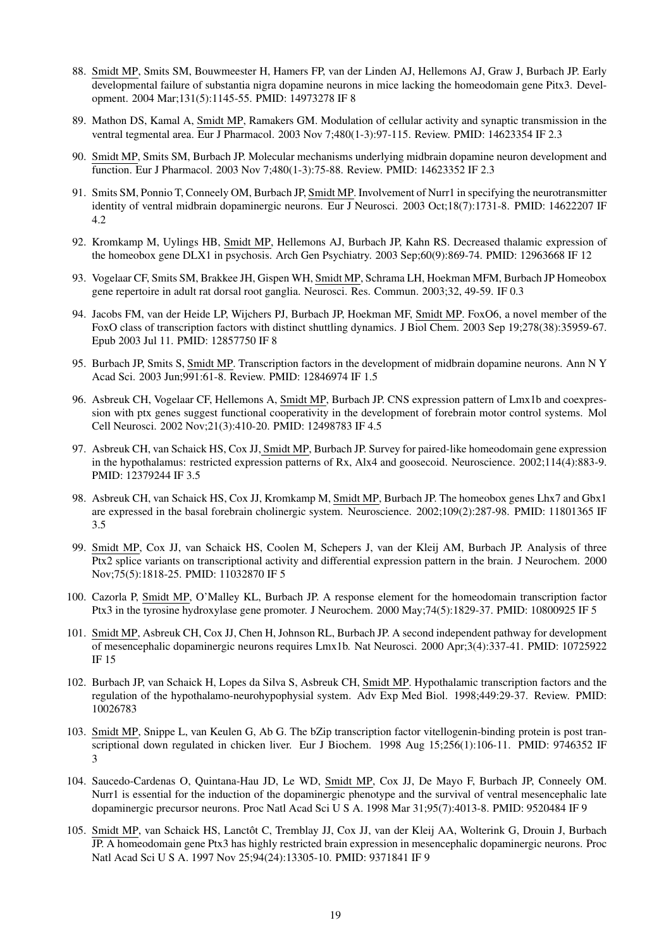- <span id="page-18-3"></span>88. Smidt MP, Smits SM, Bouwmeester H, Hamers FP, van der Linden AJ, Hellemons AJ, Graw J, Burbach JP. Early developmental failure of substantia nigra dopamine neurons in mice lacking the homeodomain gene Pitx3. Development. 2004 Mar;131(5):1145-55. PMID: 14973278 IF 8
- 89. Mathon DS, Kamal A, Smidt MP, Ramakers GM. Modulation of cellular activity and synaptic transmission in the ventral tegmental area. Eur J Pharmacol. 2003 Nov 7;480(1-3):97-115. Review. PMID: 14623354 IF 2.3
- 90. Smidt MP, Smits SM, Burbach JP. Molecular mechanisms underlying midbrain dopamine neuron development and function. Eur J Pharmacol. 2003 Nov 7;480(1-3):75-88. Review. PMID: 14623352 IF 2.3
- 91. Smits SM, Ponnio T, Conneely OM, Burbach JP, Smidt MP. Involvement of Nurr1 in specifying the neurotransmitter identity of ventral midbrain dopaminergic neurons. Eur J Neurosci. 2003 Oct;18(7):1731-8. PMID: 14622207 IF 4.2
- 92. Kromkamp M, Uylings HB, Smidt MP, Hellemons AJ, Burbach JP, Kahn RS. Decreased thalamic expression of the homeobox gene DLX1 in psychosis. Arch Gen Psychiatry. 2003 Sep;60(9):869-74. PMID: 12963668 IF 12
- 93. Vogelaar CF, Smits SM, Brakkee JH, Gispen WH, Smidt MP, Schrama LH, Hoekman MFM, Burbach JP Homeobox gene repertoire in adult rat dorsal root ganglia. Neurosci. Res. Commun. 2003;32, 49-59. IF 0.3
- <span id="page-18-4"></span>94. Jacobs FM, van der Heide LP, Wijchers PJ, Burbach JP, Hoekman MF, Smidt MP. FoxO6, a novel member of the FoxO class of transcription factors with distinct shuttling dynamics. J Biol Chem. 2003 Sep 19;278(38):35959-67. Epub 2003 Jul 11. PMID: 12857750 IF 8
- 95. Burbach JP, Smits S, Smidt MP. Transcription factors in the development of midbrain dopamine neurons. Ann N Y Acad Sci. 2003 Jun;991:61-8. Review. PMID: 12846974 IF 1.5
- 96. Asbreuk CH, Vogelaar CF, Hellemons A, Smidt MP, Burbach JP. CNS expression pattern of Lmx1b and coexpression with ptx genes suggest functional cooperativity in the development of forebrain motor control systems. Mol Cell Neurosci. 2002 Nov;21(3):410-20. PMID: 12498783 IF 4.5
- 97. Asbreuk CH, van Schaick HS, Cox JJ, Smidt MP, Burbach JP. Survey for paired-like homeodomain gene expression in the hypothalamus: restricted expression patterns of Rx, Alx4 and goosecoid. Neuroscience. 2002;114(4):883-9. PMID: 12379244 IF 3.5
- 98. Asbreuk CH, van Schaick HS, Cox JJ, Kromkamp M, Smidt MP, Burbach JP. The homeobox genes Lhx7 and Gbx1 are expressed in the basal forebrain cholinergic system. Neuroscience. 2002;109(2):287-98. PMID: 11801365 IF 3.5
- 99. Smidt MP, Cox JJ, van Schaick HS, Coolen M, Schepers J, van der Kleij AM, Burbach JP. Analysis of three Ptx2 splice variants on transcriptional activity and differential expression pattern in the brain. J Neurochem. 2000 Nov;75(5):1818-25. PMID: 11032870 IF 5
- 100. Cazorla P, Smidt MP, O'Malley KL, Burbach JP. A response element for the homeodomain transcription factor Ptx3 in the tyrosine hydroxylase gene promoter. J Neurochem. 2000 May;74(5):1829-37. PMID: 10800925 IF 5
- <span id="page-18-2"></span>101. Smidt MP, Asbreuk CH, Cox JJ, Chen H, Johnson RL, Burbach JP. A second independent pathway for development of mesencephalic dopaminergic neurons requires Lmx1b. Nat Neurosci. 2000 Apr;3(4):337-41. PMID: 10725922 IF 15
- 102. Burbach JP, van Schaick H, Lopes da Silva S, Asbreuk CH, Smidt MP. Hypothalamic transcription factors and the regulation of the hypothalamo-neurohypophysial system. Adv Exp Med Biol. 1998;449:29-37. Review. PMID: 10026783
- 103. Smidt MP, Snippe L, van Keulen G, Ab G. The bZip transcription factor vitellogenin-binding protein is post transcriptional down regulated in chicken liver. Eur J Biochem. 1998 Aug 15;256(1):106-11. PMID: 9746352 IF 3
- <span id="page-18-1"></span>104. Saucedo-Cardenas O, Quintana-Hau JD, Le WD, Smidt MP, Cox JJ, De Mayo F, Burbach JP, Conneely OM. Nurr1 is essential for the induction of the dopaminergic phenotype and the survival of ventral mesencephalic late dopaminergic precursor neurons. Proc Natl Acad Sci U S A. 1998 Mar 31;95(7):4013-8. PMID: 9520484 IF 9
- <span id="page-18-0"></span>105. Smidt MP, van Schaick HS, Lanctôt C, Tremblay JJ, Cox JJ, van der Kleij AA, Wolterink G, Drouin J, Burbach JP. A homeodomain gene Ptx3 has highly restricted brain expression in mesencephalic dopaminergic neurons. Proc Natl Acad Sci U S A. 1997 Nov 25;94(24):13305-10. PMID: 9371841 IF 9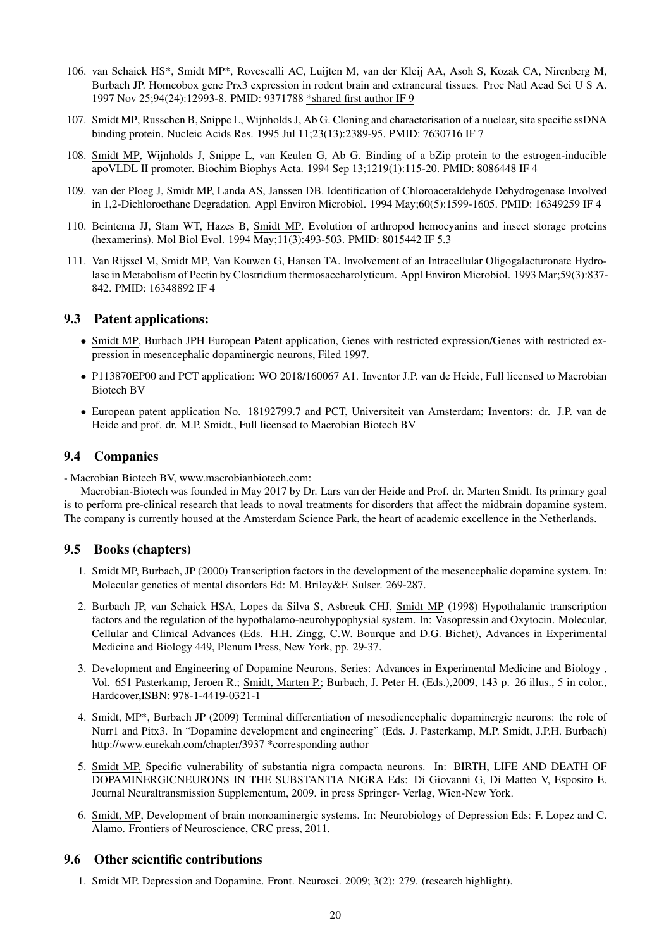- 106. van Schaick HS\*, Smidt MP\*, Rovescalli AC, Luijten M, van der Kleij AA, Asoh S, Kozak CA, Nirenberg M, Burbach JP. Homeobox gene Prx3 expression in rodent brain and extraneural tissues. Proc Natl Acad Sci U S A. 1997 Nov 25;94(24):12993-8. PMID: 9371788 \*shared first author IF 9
- 107. Smidt MP, Russchen B, Snippe L, Wijnholds J, Ab G. Cloning and characterisation of a nuclear, site specific ssDNA binding protein. Nucleic Acids Res. 1995 Jul 11;23(13):2389-95. PMID: 7630716 IF 7
- 108. Smidt MP, Wijnholds J, Snippe L, van Keulen G, Ab G. Binding of a bZip protein to the estrogen-inducible apoVLDL II promoter. Biochim Biophys Acta. 1994 Sep 13;1219(1):115-20. PMID: 8086448 IF 4
- 109. van der Ploeg J, Smidt MP, Landa AS, Janssen DB. Identification of Chloroacetaldehyde Dehydrogenase Involved in 1,2-Dichloroethane Degradation. Appl Environ Microbiol. 1994 May;60(5):1599-1605. PMID: 16349259 IF 4
- 110. Beintema JJ, Stam WT, Hazes B, Smidt MP. Evolution of arthropod hemocyanins and insect storage proteins (hexamerins). Mol Biol Evol. 1994 May;11(3):493-503. PMID: 8015442 IF 5.3
- 111. Van Rijssel M, Smidt MP, Van Kouwen G, Hansen TA. Involvement of an Intracellular Oligogalacturonate Hydrolase in Metabolism of Pectin by Clostridium thermosaccharolyticum. Appl Environ Microbiol. 1993 Mar;59(3):837- 842. PMID: 16348892 IF 4

### <span id="page-19-0"></span>9.3 Patent applications:

- Smidt MP, Burbach JPH European Patent application, Genes with restricted expression/Genes with restricted expression in mesencephalic dopaminergic neurons, Filed 1997.
- P113870EP00 and PCT application: WO 2018/160067 A1. Inventor J.P. van de Heide, Full licensed to Macrobian Biotech BV
- European patent application No. 18192799.7 and PCT, Universiteit van Amsterdam; Inventors: dr. J.P. van de Heide and prof. dr. M.P. Smidt., Full licensed to Macrobian Biotech BV

### <span id="page-19-1"></span>9.4 Companies

- Macrobian Biotech BV, www.macrobianbiotech.com:

Macrobian-Biotech was founded in May 2017 by Dr. Lars van der Heide and Prof. dr. Marten Smidt. Its primary goal is to perform pre-clinical research that leads to noval treatments for disorders that affect the midbrain dopamine system. The company is currently housed at the Amsterdam Science Park, the heart of academic excellence in the Netherlands.

## <span id="page-19-2"></span>9.5 Books (chapters)

- 1. Smidt MP, Burbach, JP (2000) Transcription factors in the development of the mesencephalic dopamine system. In: Molecular genetics of mental disorders Ed: M. Briley&F. Sulser. 269-287.
- 2. Burbach JP, van Schaick HSA, Lopes da Silva S, Asbreuk CHJ, Smidt MP (1998) Hypothalamic transcription factors and the regulation of the hypothalamo-neurohypophysial system. In: Vasopressin and Oxytocin. Molecular, Cellular and Clinical Advances (Eds. H.H. Zingg, C.W. Bourque and D.G. Bichet), Advances in Experimental Medicine and Biology 449, Plenum Press, New York, pp. 29-37.
- 3. Development and Engineering of Dopamine Neurons, Series: Advances in Experimental Medicine and Biology , Vol. 651 Pasterkamp, Jeroen R.; Smidt, Marten P.; Burbach, J. Peter H. (Eds.),2009, 143 p. 26 illus., 5 in color., Hardcover,ISBN: 978-1-4419-0321-1
- 4. Smidt, MP\*, Burbach JP (2009) Terminal differentiation of mesodiencephalic dopaminergic neurons: the role of Nurr1 and Pitx3. In "Dopamine development and engineering" (Eds. J. Pasterkamp, M.P. Smidt, J.P.H. Burbach) http://www.eurekah.com/chapter/3937 \*corresponding author
- 5. Smidt MP, Specific vulnerability of substantia nigra compacta neurons. In: BIRTH, LIFE AND DEATH OF DOPAMINERGICNEURONS IN THE SUBSTANTIA NIGRA Eds: Di Giovanni G, Di Matteo V, Esposito E. Journal Neuraltransmission Supplementum, 2009. in press Springer- Verlag, Wien-New York.
- 6. Smidt, MP, Development of brain monoaminergic systems. In: Neurobiology of Depression Eds: F. Lopez and C. Alamo. Frontiers of Neuroscience, CRC press, 2011.

## <span id="page-19-3"></span>9.6 Other scientific contributions

1. Smidt MP. Depression and Dopamine. Front. Neurosci. 2009; 3(2): 279. (research highlight).